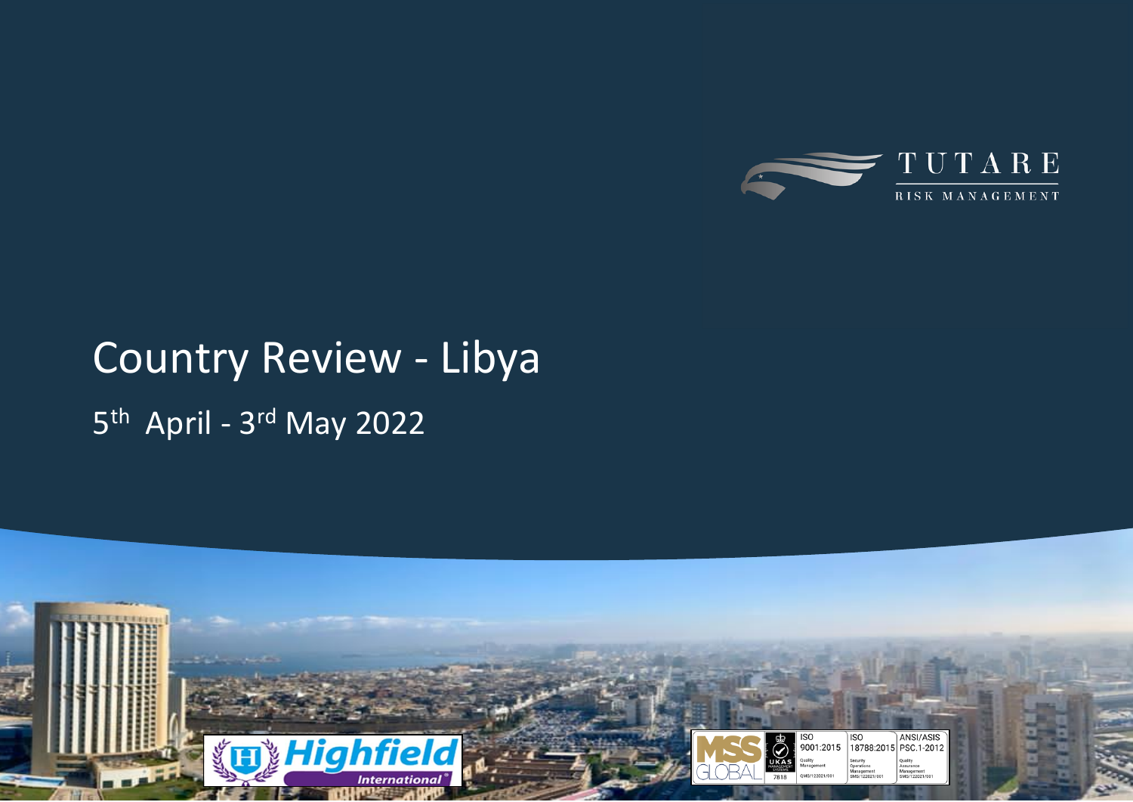

# Country Review - Libya 5<sup>th</sup> April - 3<sup>rd</sup> May 2022

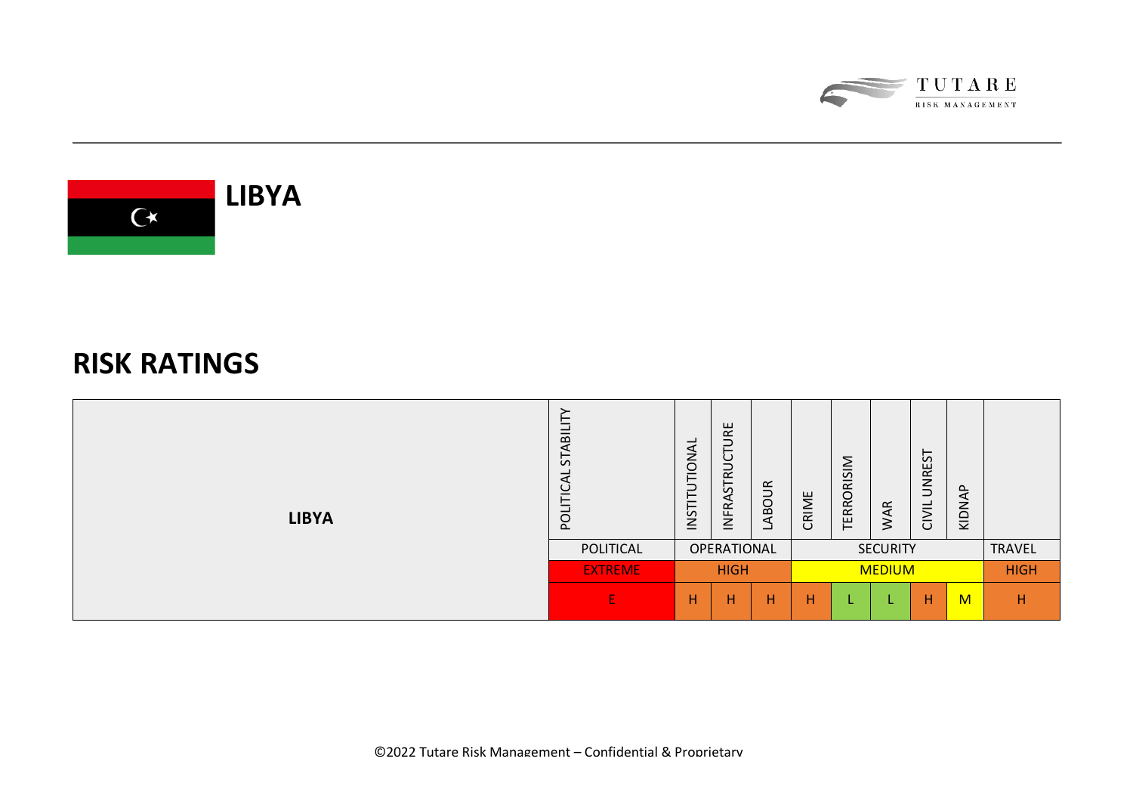



### **RISK RATINGS**

| <b>LIBYA</b> | –<br>-<br>മ<br>⋖<br>⊢<br>$\mathcal{L}$<br>ب<br>pO | <b>IONAL</b><br>⊢<br>⊃<br>ᄂ<br>NST | RΕ<br>⊃<br>⊢<br>ပ<br>⊃<br>$\propto$<br>55<br>⋖<br>≃<br>$\overline{2}$ | ABOUR<br>ᆜ | ш<br>RIMI<br>$\cup$ | <b>RISIM</b><br><b>TERROI</b> | $\propto$<br>$\blacktriangleleft$<br>$\dot{\geq}$ | <b>UNREST</b><br>CIVIL | ௨<br>⋖<br>KIDN |             |
|--------------|---------------------------------------------------|------------------------------------|-----------------------------------------------------------------------|------------|---------------------|-------------------------------|---------------------------------------------------|------------------------|----------------|-------------|
|              | POLITICAL                                         |                                    | OPERATIONAL                                                           |            | <b>SECURITY</b>     |                               |                                                   |                        | TRAVEL         |             |
|              | <b>EXTREME</b>                                    | <b>HIGH</b>                        |                                                                       |            | <b>MEDIUM</b>       |                               |                                                   |                        |                | <b>HIGH</b> |
|              | E                                                 | н                                  | н                                                                     | н          | н                   |                               |                                                   | H                      | M              | н           |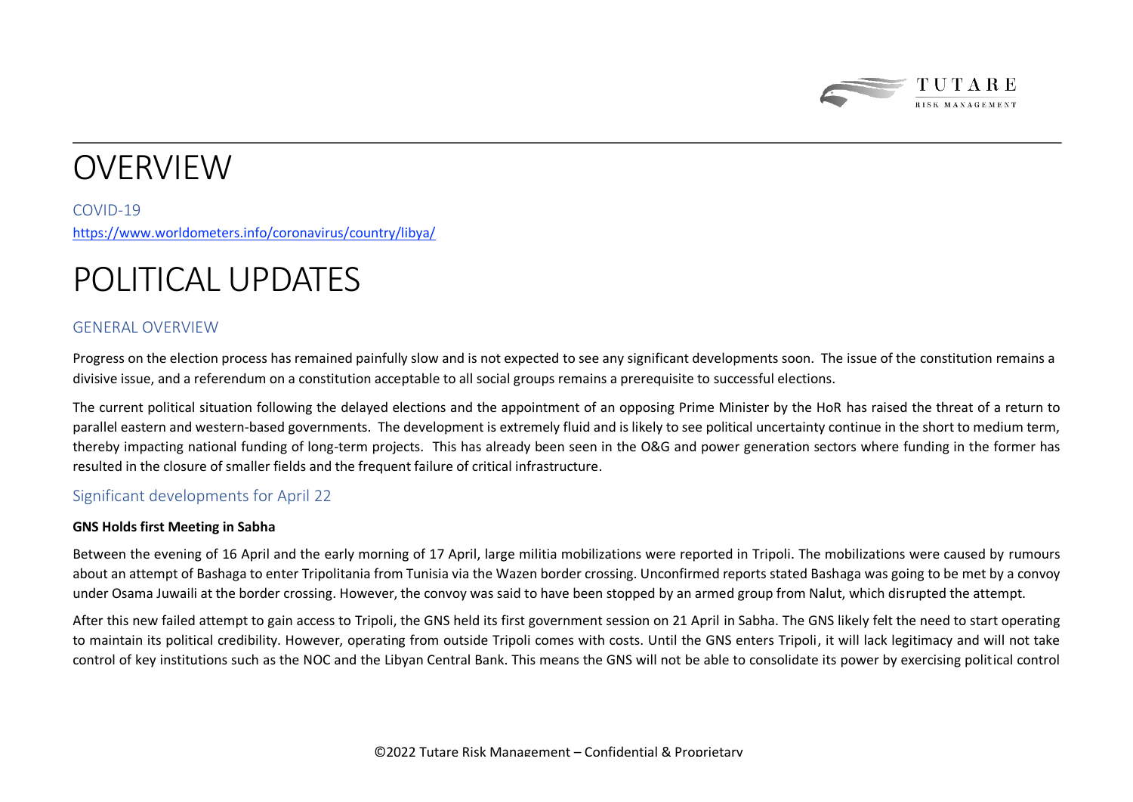

# **OVERVIEW**

COVID-19 <https://www.worldometers.info/coronavirus/country/libya/>

## POLITICAL UPDATES

### GENERAL OVERVIEW

Progress on the election process has remained painfully slow and is not expected to see any significant developments soon. The issue of the constitution remains a divisive issue, and a referendum on a constitution acceptable to all social groups remains a prerequisite to successful elections.

The current political situation following the delayed elections and the appointment of an opposing Prime Minister by the HoR has raised the threat of a return to parallel eastern and western-based governments. The development is extremely fluid and is likely to see political uncertainty continue in the short to medium term, thereby impacting national funding of long-term projects. This has already been seen in the O&G and power generation sectors where funding in the former has resulted in the closure of smaller fields and the frequent failure of critical infrastructure.

### Significant developments for April 22

#### **GNS Holds first Meeting in Sabha**

Between the evening of 16 April and the early morning of 17 April, large militia mobilizations were reported in Tripoli. The mobilizations were caused by rumours about an attempt of Bashaga to enter Tripolitania from Tunisia via the Wazen border crossing. Unconfirmed reports stated Bashaga was going to be met by a convoy under Osama Juwaili at the border crossing. However, the convoy was said to have been stopped by an armed group from Nalut, which disrupted the attempt.

After this new failed attempt to gain access to Tripoli, the GNS held its first government session on 21 April in Sabha. The GNS likely felt the need to start operating to maintain its political credibility. However, operating from outside Tripoli comes with costs. Until the GNS enters Tripoli, it will lack legitimacy and will not take control of key institutions such as the NOC and the Libyan Central Bank. This means the GNS will not be able to consolidate its power by exercising political control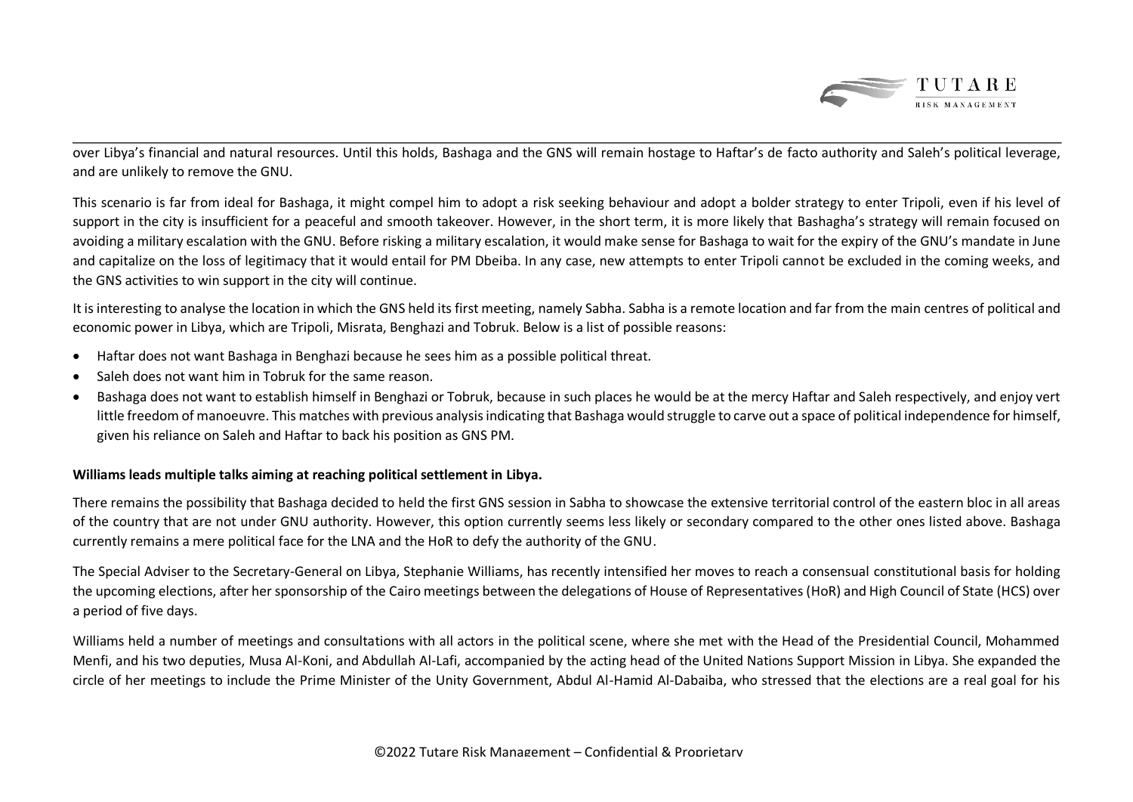

over Libya's financial and natural resources. Until this holds, Bashaga and the GNS will remain hostage to Haftar's de facto authority and Saleh's political leverage, and are unlikely to remove the GNU.

This scenario is far from ideal for Bashaga, it might compel him to adopt a risk seeking behaviour and adopt a bolder strategy to enter Tripoli, even if his level of support in the city is insufficient for a peaceful and smooth takeover. However, in the short term, it is more likely that Bashagha's strategy will remain focused on avoiding a military escalation with the GNU. Before risking a military escalation, it would make sense for Bashaga to wait for the expiry of the GNU's mandate in June and capitalize on the loss of legitimacy that it would entail for PM Dbeiba. In any case, new attempts to enter Tripoli cannot be excluded in the coming weeks, and the GNS activities to win support in the city will continue.

It is interesting to analyse the location in which the GNS held its first meeting, namely Sabha. Sabha is a remote location and far from the main centres of political and economic power in Libya, which are Tripoli, Misrata, Benghazi and Tobruk. Below is a list of possible reasons:

- Haftar does not want Bashaga in Benghazi because he sees him as a possible political threat.
- Saleh does not want him in Tobruk for the same reason.
- Bashaga does not want to establish himself in Benghazi or Tobruk, because in such places he would be at the mercy Haftar and Saleh respectively, and enjoy vert little freedom of manoeuvre. This matches with previous analysis indicating that Bashaga would struggle to carve out a space of political independence for himself, given his reliance on Saleh and Haftar to back his position as GNS PM.

#### **Williams leads multiple talks aiming at reaching political settlement in Libya.**

There remains the possibility that Bashaga decided to held the first GNS session in Sabha to showcase the extensive territorial control of the eastern bloc in all areas of the country that are not under GNU authority. However, this option currently seems less likely or secondary compared to the other ones listed above. Bashaga currently remains a mere political face for the LNA and the HoR to defy the authority of the GNU.

The Special Adviser to the Secretary-General on Libya, Stephanie Williams, has recently intensified her moves to reach a consensual constitutional basis for holding the upcoming elections, after her sponsorship of the Cairo meetings between the delegations of House of Representatives (HoR) and High Council of State (HCS) over a period of five days.

Williams held a number of meetings and consultations with all actors in the political scene, where she met with the Head of the Presidential Council, Mohammed Menfi, and his two deputies, Musa Al-Koni, and Abdullah Al-Lafi, accompanied by the acting head of the United Nations Support Mission in Libya. She expanded the circle of her meetings to include the Prime Minister of the Unity Government, Abdul Al-Hamid Al-Dabaiba, who stressed that the elections are a real goal for his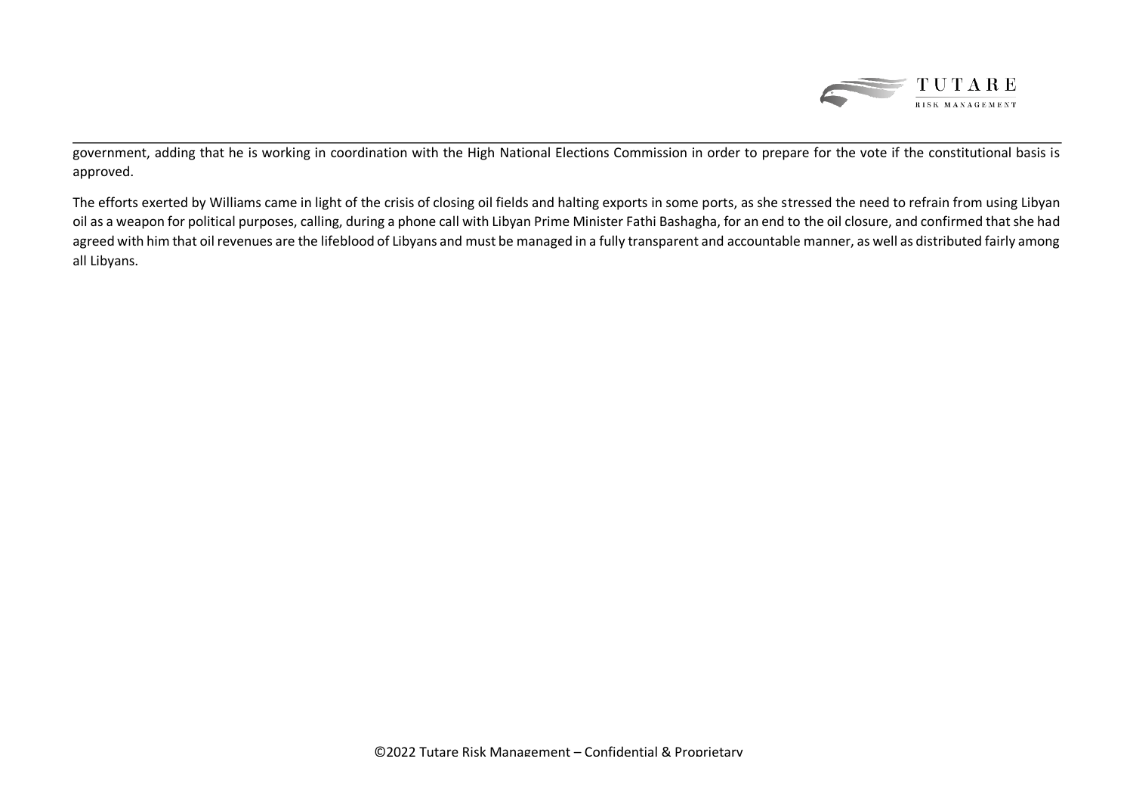

government, adding that he is working in coordination with the High National Elections Commission in order to prepare for the vote if the constitutional basis is approved.

The efforts exerted by Williams came in light of the crisis of closing oil fields and halting exports in some ports, as she stressed the need to refrain from using Libyan oil as a weapon for political purposes, calling, during a phone call with Libyan Prime Minister Fathi Bashagha, for an end to the oil closure, and confirmed that she had agreed with him that oil revenues are the lifeblood of Libyans and must be managed in a fully transparent and accountable manner, as well as distributed fairly among all Libyans.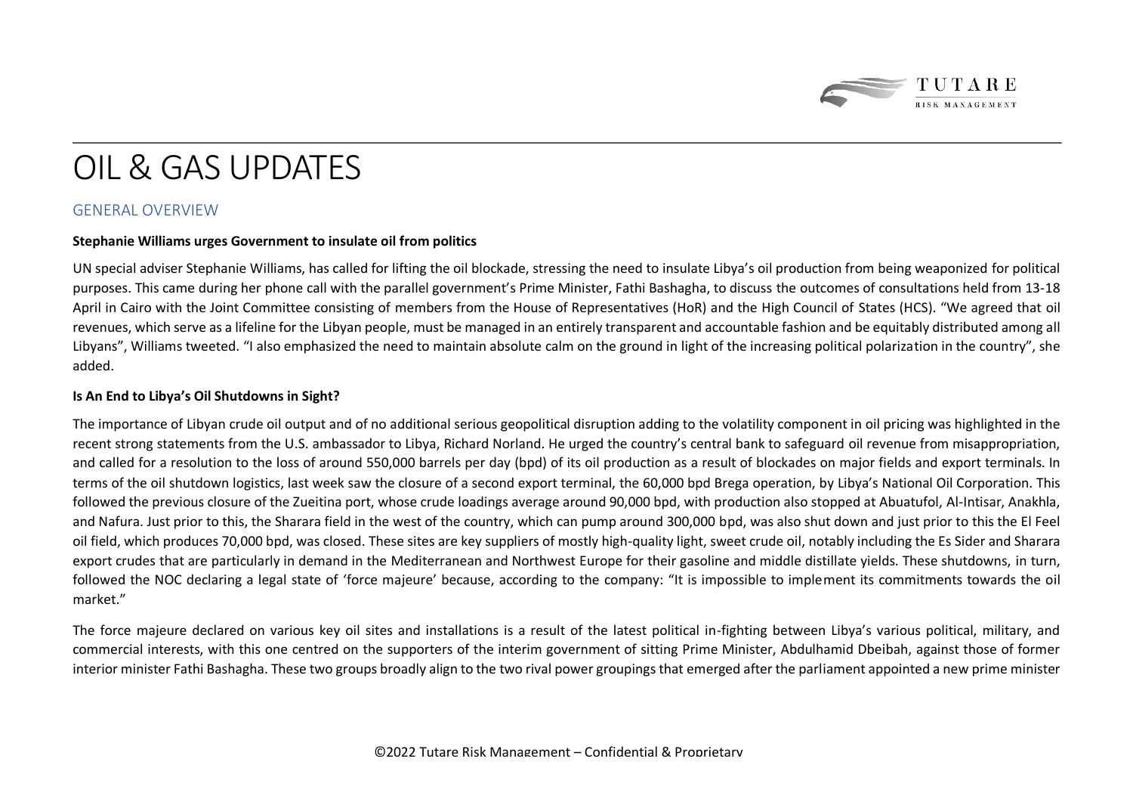

# OIL & GAS UPDATES

### GENERAL OVERVIEW

#### **Stephanie Williams urges Government to insulate oil from politics**

UN special adviser Stephanie Williams, has called for lifting the oil blockade, stressing the need to insulate Libya's oil production from being weaponized for political purposes. This came during her phone call with the parallel government's Prime Minister, Fathi Bashagha, to discuss the outcomes of consultations held from 13-18 April in Cairo with the Joint Committee consisting of members from the House of Representatives (HoR) and the High Council of States (HCS). "We agreed that oil revenues, which serve as a lifeline for the Libyan people, must be managed in an entirely transparent and accountable fashion and be equitably distributed among all Libyans", Williams tweeted. "I also emphasized the need to maintain absolute calm on the ground in light of the increasing political polarization in the country", she added.

#### **Is An End to Libya's Oil Shutdowns in Sight?**

The importance of Libyan crude oil output and of no additional serious geopolitical disruption adding to the volatility component in oil pricing was highlighted in the recent strong statements from the U.S. ambassador to Libya, Richard Norland. He urged the country's central bank to safeguard oil revenue from misappropriation, and called for a resolution to the loss of around 550,000 barrels per day (bpd) of its oil production as a result of blockades on major fields and export terminals. In terms of the oil shutdown logistics, last week saw the closure of a second export terminal, the 60,000 bpd Brega operation, by Libya's National Oil Corporation. This followed the previous closure of the Zueitina port, whose crude loadings average around 90,000 bpd, with production also stopped at Abuatufol, Al-Intisar, Anakhla, and Nafura. Just prior to this, the Sharara field in the west of the country, which can pump around 300,000 bpd, was also shut down and just prior to this the El Feel oil field, which produces 70,000 bpd, was closed. These sites are key suppliers of mostly high-quality light, sweet crude oil, notably including the Es Sider and Sharara export crudes that are particularly in demand in the Mediterranean and Northwest Europe for their gasoline and middle distillate yields. These shutdowns, in turn, followed the NOC declaring a legal state of 'force majeure' because, according to the company: "It is impossible to implement its commitments towards the oil market."

The force majeure declared on various key oil sites and installations is a result of the latest political in-fighting between Libya's various political, military, and commercial interests, with this one centred on the supporters of the interim government of sitting Prime Minister, Abdulhamid Dbeibah, against those of former interior minister Fathi Bashagha. These two groups broadly align to the two rival power groupings that emerged after the parliament appointed a new prime minister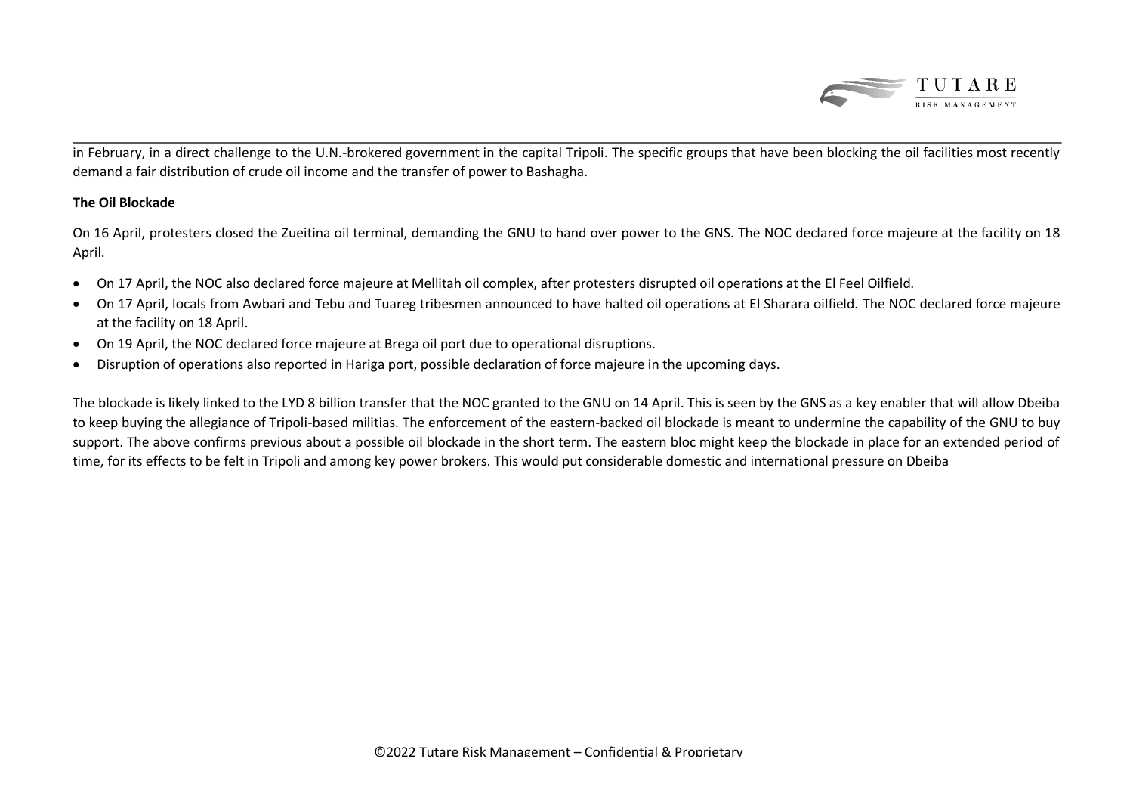

in February, in a direct challenge to the U.N.-brokered government in the capital Tripoli. The specific groups that have been blocking the oil facilities most recently demand a fair distribution of crude oil income and the transfer of power to Bashagha.

#### **The Oil Blockade**

On 16 April, protesters closed the Zueitina oil terminal, demanding the GNU to hand over power to the GNS. The NOC declared force majeure at the facility on 18 April.

- On 17 April, the NOC also declared force majeure at Mellitah oil complex, after protesters disrupted oil operations at the El Feel Oilfield.
- On 17 April, locals from Awbari and Tebu and Tuareg tribesmen announced to have halted oil operations at El Sharara oilfield. The NOC declared force majeure at the facility on 18 April.
- On 19 April, the NOC declared force majeure at Brega oil port due to operational disruptions.
- Disruption of operations also reported in Hariga port, possible declaration of force majeure in the upcoming days.

The blockade is likely linked to the LYD 8 billion transfer that the NOC granted to the GNU on 14 April. This is seen by the GNS as a key enabler that will allow Dbeiba to keep buying the allegiance of Tripoli-based militias. The enforcement of the eastern-backed oil blockade is meant to undermine the capability of the GNU to buy support. The above confirms previous about a possible oil blockade in the short term. The eastern bloc might keep the blockade in place for an extended period of time, for its effects to be felt in Tripoli and among key power brokers. This would put considerable domestic and international pressure on Dbeiba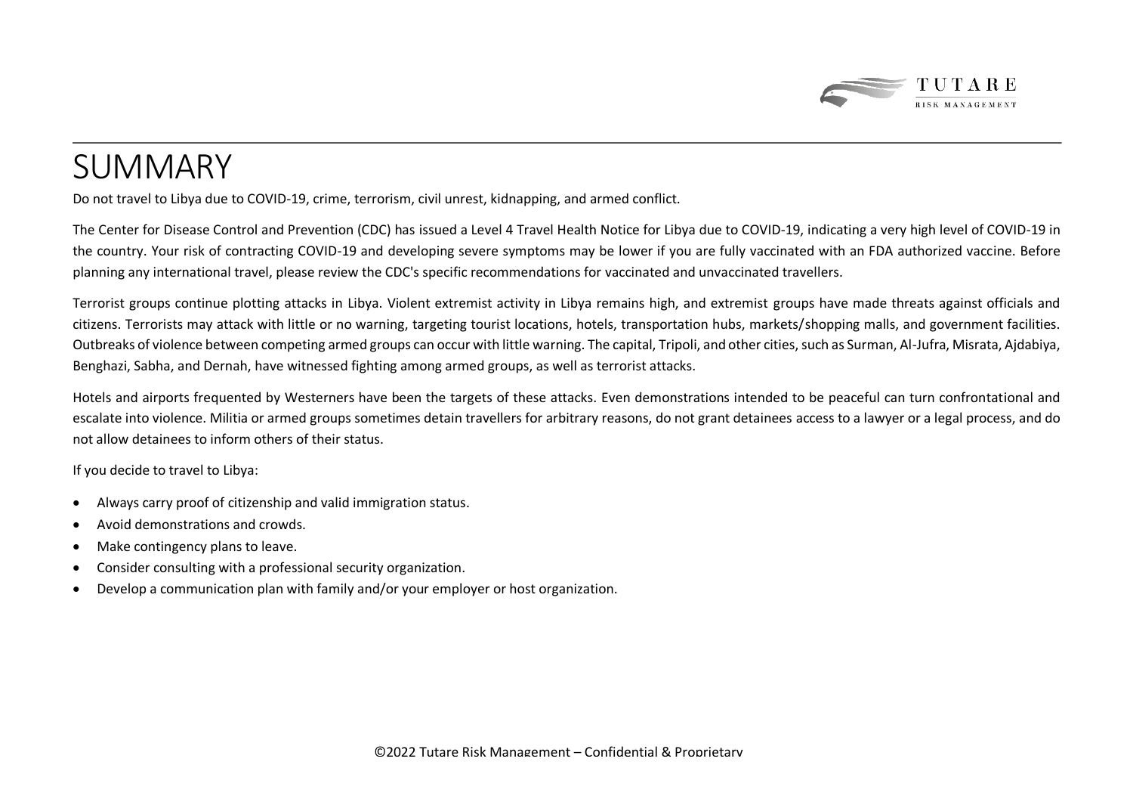

# SUMMARY

Do not travel to Libya due to COVID-19, crime, terrorism, civil unrest, kidnapping, and armed conflict.

The Center for Disease Control and Prevention (CDC) has issued a Level 4 Travel Health Notice for Libya due to COVID-19, indicating a very high level of COVID-19 in the country. Your risk of contracting COVID-19 and developing severe symptoms may be lower if you are fully vaccinated with an FDA authorized vaccine. Before planning any international travel, please review the CDC's specific recommendations for vaccinated and unvaccinated travellers.

Terrorist groups continue plotting attacks in Libya. Violent extremist activity in Libya remains high, and extremist groups have made threats against officials and citizens. Terrorists may attack with little or no warning, targeting tourist locations, hotels, transportation hubs, markets/shopping malls, and government facilities. Outbreaks of violence between competing armed groups can occur with little warning. The capital, Tripoli, and other cities, such as Surman, Al-Jufra, Misrata, Ajdabiya, Benghazi, Sabha, and Dernah, have witnessed fighting among armed groups, as well as terrorist attacks.

Hotels and airports frequented by Westerners have been the targets of these attacks. Even demonstrations intended to be peaceful can turn confrontational and escalate into violence. Militia or armed groups sometimes detain travellers for arbitrary reasons, do not grant detainees access to a lawyer or a legal process, and do not allow detainees to inform others of their status.

If you decide to travel to Libya:

- Always carry proof of citizenship and valid immigration status.
- Avoid demonstrations and crowds.
- Make contingency plans to leave.
- Consider consulting with a professional security organization.
- Develop a communication plan with family and/or your employer or host organization.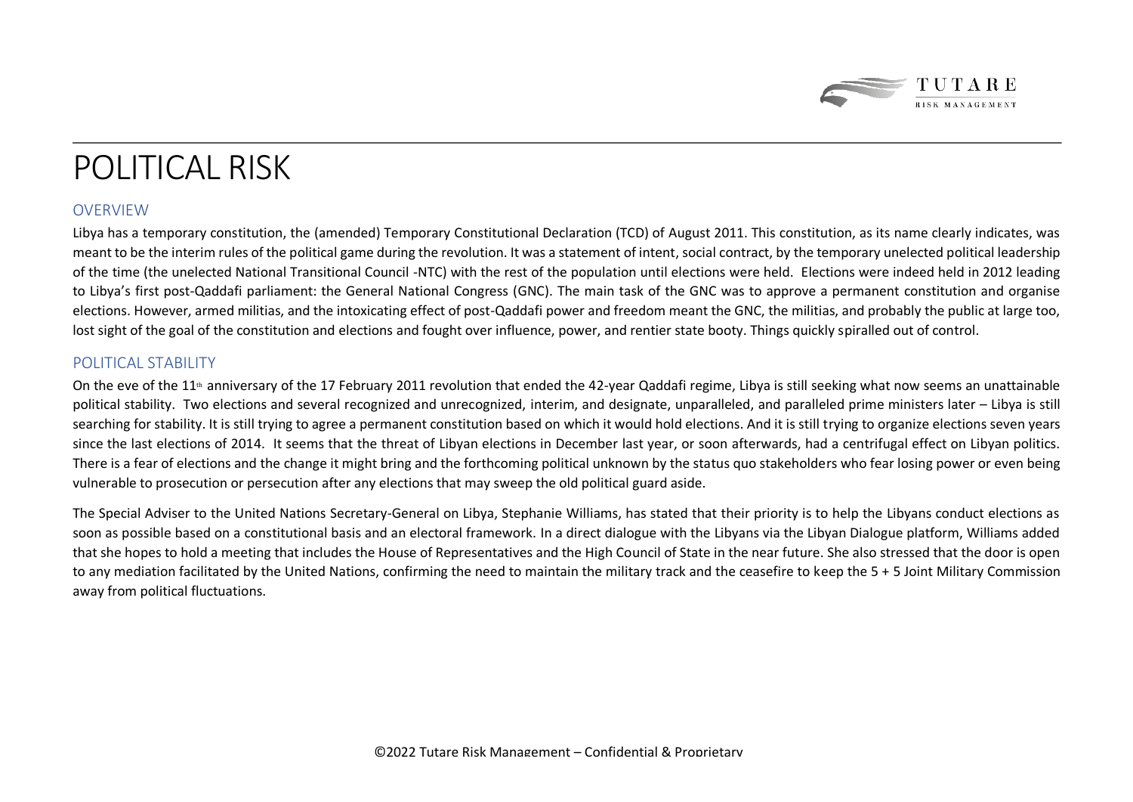

# POLITICAL RISK

### OVERVIEW

Libya has a temporary constitution, the (amended) Temporary Constitutional Declaration (TCD) of August 2011. This constitution, as its name clearly indicates, was meant to be the interim rules of the political game during the revolution. It was a statement of intent, social contract, by the temporary unelected political leadership of the time (the unelected National Transitional Council -NTC) with the rest of the population until elections were held. Elections were indeed held in 2012 leading to Libya's first post-Qaddafi parliament: the General National Congress (GNC). The main task of the GNC was to approve a permanent constitution and organise elections. However, armed militias, and the intoxicating effect of post-Qaddafi power and freedom meant the GNC, the militias, and probably the public at large too, lost sight of the goal of the constitution and elections and fought over influence, power, and rentier state booty. Things quickly spiralled out of control.

### POLITICAL STABILITY

On the eve of the 11<sup>th</sup> anniversary of the 17 February 2011 revolution that ended the 42-year Qaddafi regime, Libya is still seeking what now seems an unattainable political stability. Two elections and several recognized and unrecognized, interim, and designate, unparalleled, and paralleled prime ministers later – Libya is still searching for stability. It is still trying to agree a permanent constitution based on which it would hold elections. And it is still trying to organize elections seven years since the last elections of 2014. It seems that the threat of Libyan elections in December last year, or soon afterwards, had a centrifugal effect on Libyan politics. There is a fear of elections and the change it might bring and the forthcoming political unknown by the status quo stakeholders who fear losing power or even being vulnerable to prosecution or persecution after any elections that may sweep the old political guard aside.

The Special Adviser to the United Nations Secretary-General on Libya, Stephanie Williams, has stated that their priority is to help the Libyans conduct elections as soon as possible based on a constitutional basis and an electoral framework. In a direct dialogue with the Libyans via the Libyan Dialogue platform, Williams added that she hopes to hold a meeting that includes the House of Representatives and the High Council of State in the near future. She also stressed that the door is open to any mediation facilitated by the United Nations, confirming the need to maintain the military track and the ceasefire to keep the 5 + 5 Joint Military Commission away from political fluctuations.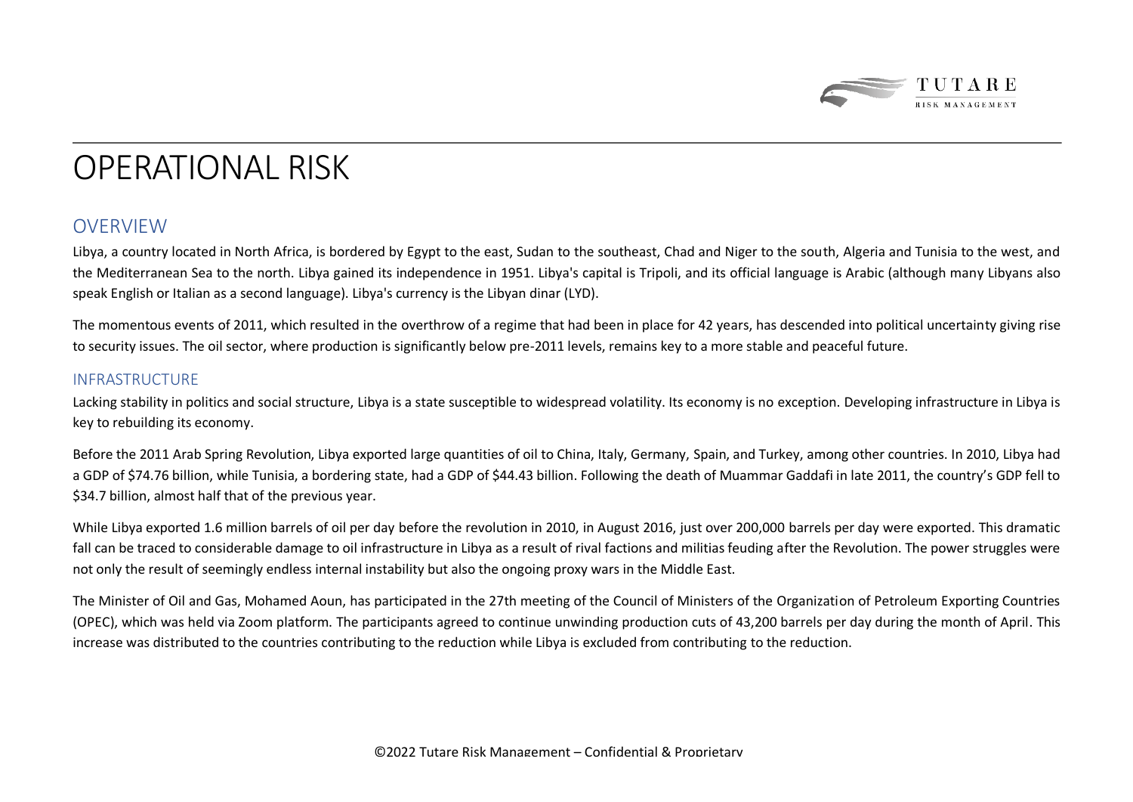

### OPERATIONAL RISK

### OVERVIEW

Libya, a country located in North Africa, is bordered by Egypt to the east, Sudan to the southeast, Chad and Niger to the south, Algeria and Tunisia to the west, and the Mediterranean Sea to the north. Libya gained its independence in 1951. Libya's capital is Tripoli, and its official language is Arabic (although many Libyans also speak English or Italian as a second language). Libya's currency is the Libyan dinar (LYD).

The momentous events of 2011, which resulted in the overthrow of a regime that had been in place for 42 years, has descended into political uncertainty giving rise to security issues. The oil sector, where production is significantly below pre-2011 levels, remains key to a more stable and peaceful future.

### INFRASTRUCTURE

Lacking stability in politics and social structure, Libya is a state susceptible to widespread volatility. Its economy is no exception. Developing infrastructure in Libya is key to rebuilding its economy.

Before the 2011 Arab Spring Revolution, Libya exported large quantities of oil to China, Italy, Germany, Spain, and Turkey, among other countries. In 2010, Libya had a GDP of \$74.76 billion, while Tunisia, a bordering state, had a GDP of \$44.43 billion. Following the death of Muammar Gaddafi in late 2011, the country's GDP fell to \$34.7 billion, almost half that of the previous year.

While Libya exported 1.6 million barrels of oil per day before the revolution in 2010, in August 2016, just over 200,000 barrels per day were exported. This dramatic fall can be traced to considerable damage to oil infrastructure in Libya as a result of rival factions and militias feuding after the Revolution. The power struggles were not only the result of seemingly endless internal instability but also the ongoing proxy wars in the Middle East.

The Minister of Oil and Gas, Mohamed Aoun, has participated in the 27th meeting of the Council of Ministers of the Organization of Petroleum Exporting Countries (OPEC), which was held via Zoom platform. The participants agreed to continue unwinding production cuts of 43,200 barrels per day during the month of April. This increase was distributed to the countries contributing to the reduction while Libya is excluded from contributing to the reduction.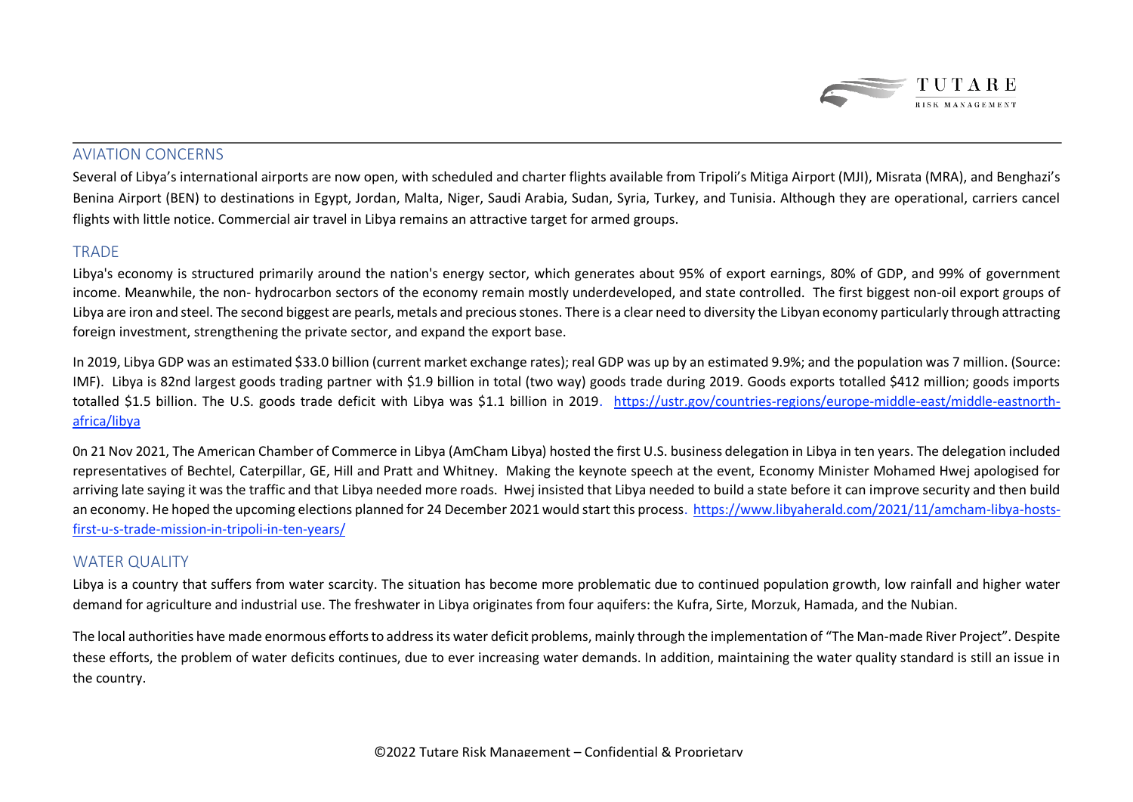

### AVIATION CONCERNS

Several of Libya's international airports are now open, with scheduled and charter flights available from Tripoli's Mitiga Airport (MJI), Misrata (MRA), and Benghazi's Benina Airport (BEN) to destinations in Egypt, Jordan, Malta, Niger, Saudi Arabia, Sudan, Syria, Turkey, and Tunisia. Although they are operational, carriers cancel flights with little notice. Commercial air travel in Libya remains an attractive target for armed groups.

### **TRADE**

Libya's economy is structured primarily around the nation's energy sector, which generates about 95% of export earnings, 80% of GDP, and 99% of government income. Meanwhile, the non- hydrocarbon sectors of the economy remain mostly underdeveloped, and state controlled. The first biggest non-oil export groups of Libya are iron and steel. The second biggest are pearls, metals and precious stones. There is a clear need to diversity the Libyan economy particularly through attracting foreign investment, strengthening the private sector, and expand the export base.

In 2019, Libya GDP was an estimated \$33.0 billion (current market exchange rates); real GDP was up by an estimated 9.9%; and the population was 7 million. (Source: IMF). Libya is 82nd largest goods trading partner with \$1.9 billion in total (two way) goods trade during 2019. Goods exports totalled \$412 million; goods imports totalled \$1.5 billion. The U.S. goods trade deficit with Libya was \$1.1 billion in 2019. [https://ustr.gov/countries-regions/europe-middle-east/middle-eastnorth](https://ustr.gov/countries-regions/europe-middle-east/middle-eastnorth-africa/libya)[africa/libya](https://ustr.gov/countries-regions/europe-middle-east/middle-eastnorth-africa/libya)

0n 21 Nov 2021, The American Chamber of Commerce in Libya (AmCham Libya) hosted the first U.S. business delegation in Libya in ten years. The delegation included representatives of Bechtel, Caterpillar, GE, Hill and Pratt and Whitney. Making the keynote speech at the event, Economy Minister Mohamed Hwej apologised for arriving late saying it was the traffic and that Libya needed more roads. Hwej insisted that Libya needed to build a state before it can improve security and then build an economy. He hoped the upcoming elections planned for 24 December 2021 would start this process. [https://www.libyaherald.com/2021/11/amcham-libya-hosts](https://www.libyaherald.com/2021/11/amcham-libya-hosts-first-u-s-trade-mission-in-tripoli-in-ten-years/)[first-u-s-trade-mission-in-tripoli-in-ten-years/](https://www.libyaherald.com/2021/11/amcham-libya-hosts-first-u-s-trade-mission-in-tripoli-in-ten-years/)

### WATER OUALITY

Libya is a country that suffers from water scarcity. The situation has become more problematic due to continued population growth, low rainfall and higher water demand for agriculture and industrial use. The freshwater in Libya originates from four aquifers: the Kufra, Sirte, Morzuk, Hamada, and the Nubian.

The local authorities have made enormous efforts to address its water deficit problems, mainly through the implementation of "The Man-made River Project". Despite these efforts, the problem of water deficits continues, due to ever increasing water demands. In addition, maintaining the water quality standard is still an issue in the country.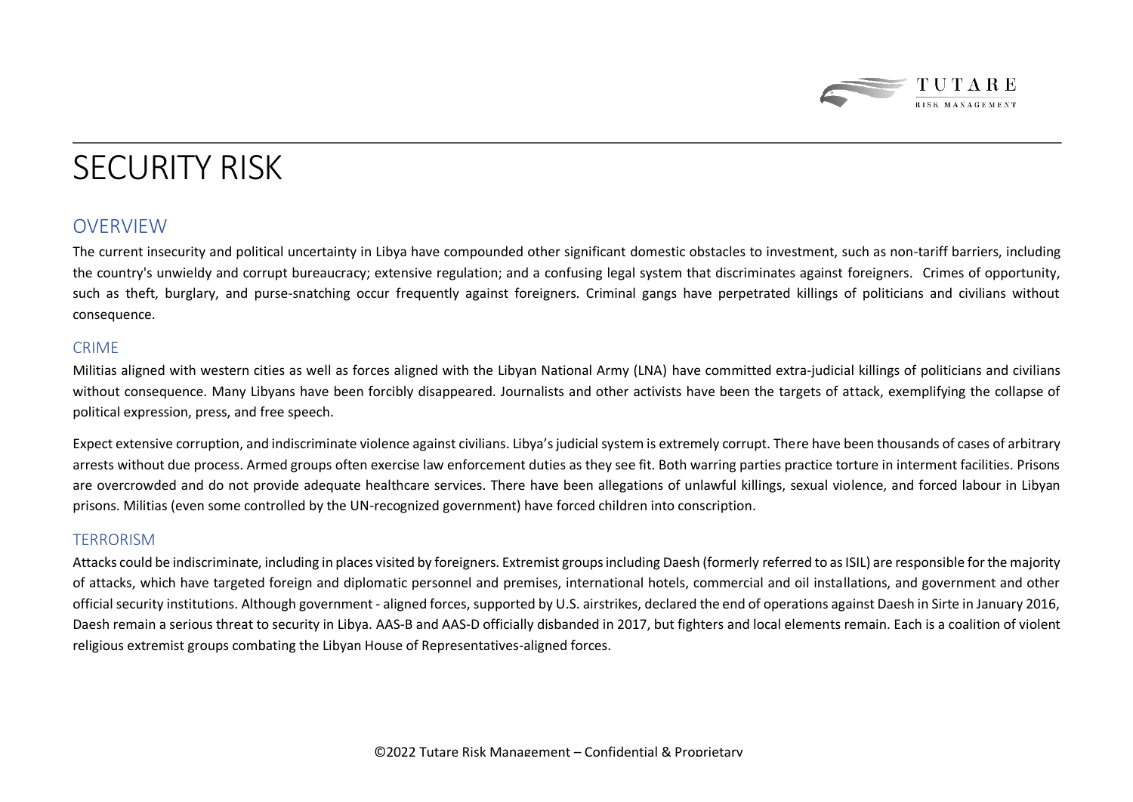

# SECURITY RISK

### **OVERVIEW**

The current insecurity and political uncertainty in Libya have compounded other significant domestic obstacles to investment, such as non-tariff barriers, including the country's unwieldy and corrupt bureaucracy; extensive regulation; and a confusing legal system that discriminates against foreigners. Crimes of opportunity, such as theft, burglary, and purse-snatching occur frequently against foreigners. Criminal gangs have perpetrated killings of politicians and civilians without consequence.

#### CRIME

Militias aligned with western cities as well as forces aligned with the Libyan National Army (LNA) have committed extra-judicial killings of politicians and civilians without consequence. Many Libyans have been forcibly disappeared. Journalists and other activists have been the targets of attack, exemplifying the collapse of political expression, press, and free speech.

Expect extensive corruption, and indiscriminate violence against civilians. Libya's judicial system is extremely corrupt. There have been thousands of cases of arbitrary arrests without due process. Armed groups often exercise law enforcement duties as they see fit. Both warring parties practice torture in interment facilities. Prisons are overcrowded and do not provide adequate healthcare services. There have been allegations of unlawful killings, sexual violence, and forced labour in Libyan prisons. Militias (even some controlled by the UN-recognized government) have forced children into conscription.

### TERRORISM

Attacks could be indiscriminate, including in places visited by foreigners. Extremist groups including Daesh (formerly referred to as ISIL) are responsible for the majority of attacks, which have targeted foreign and diplomatic personnel and premises, international hotels, commercial and oil installations, and government and other official security institutions. Although government - aligned forces, supported by U.S. airstrikes, declared the end of operations against Daesh in Sirte in January 2016, Daesh remain a serious threat to security in Libya. AAS-B and AAS-D officially disbanded in 2017, but fighters and local elements remain. Each is a coalition of violent religious extremist groups combating the Libyan House of Representatives-aligned forces.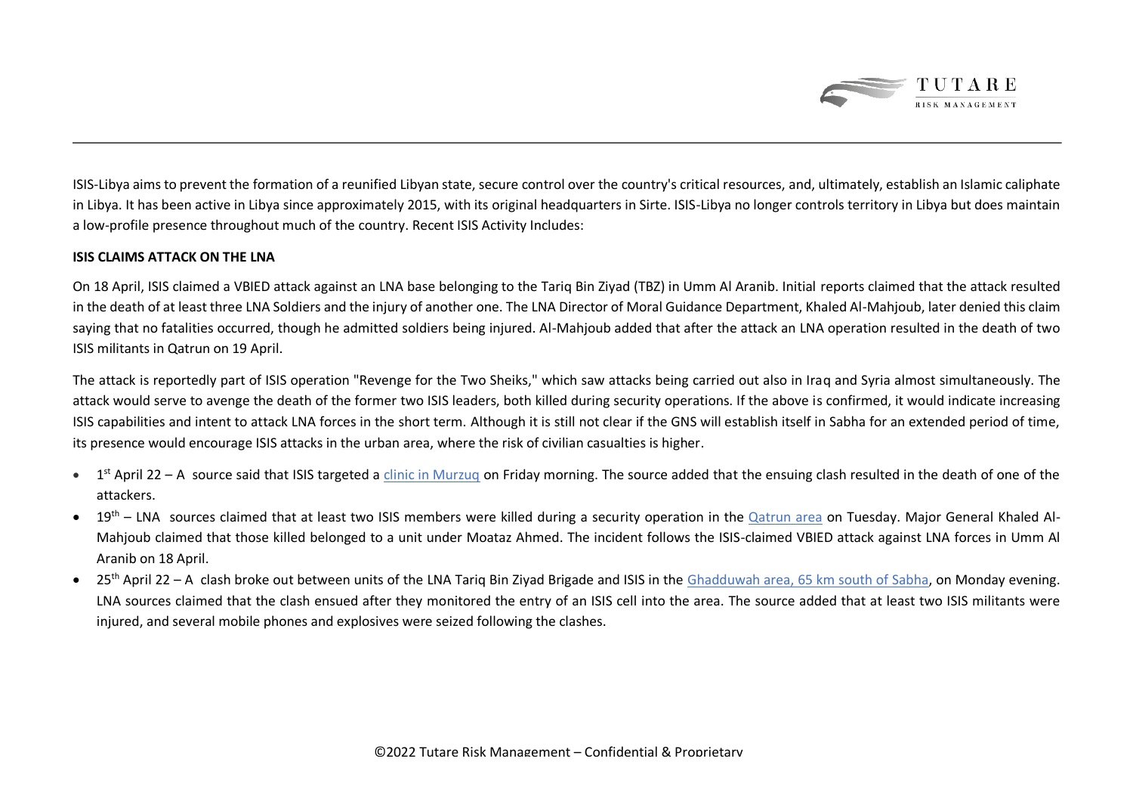

ISIS-Libya aims to prevent the formation of a reunified Libyan state, secure control over the country's critical resources, and, ultimately, establish an Islamic caliphate in Libya. It has been active in Libya since approximately 2015, with its original headquarters in Sirte. ISIS-Libya no longer controls territory in Libya but does maintain a low-profile presence throughout much of the country. Recent ISIS Activity Includes:

#### **ISIS CLAIMS ATTACK ON THE LNA**

On 18 April, ISIS claimed a VBIED attack against an LNA base belonging to the Tariq Bin Ziyad (TBZ) in Umm Al Aranib. Initial reports claimed that the attack resulted in the death of at least three LNA Soldiers and the injury of another one. The LNA Director of Moral Guidance Department, Khaled Al-Mahjoub, later denied this claim saying that no fatalities occurred, though he admitted soldiers being injured. Al-Mahjoub added that after the attack an LNA operation resulted in the death of two ISIS militants in Qatrun on 19 April.

The attack is reportedly part of ISIS operation "Revenge for the Two Sheiks," which saw attacks being carried out also in Iraq and Syria almost simultaneously. The attack would serve to avenge the death of the former two ISIS leaders, both killed during security operations. If the above is confirmed, it would indicate increasing ISIS capabilities and intent to attack LNA forces in the short term. Although it is still not clear if the GNS will establish itself in Sabha for an extended period of time, its presence would encourage ISIS attacks in the urban area, where the risk of civilian casualties is higher.

- 1<sup>st</sup> April 22 A source said that ISIS targeted a [clinic in Murzuq](https://earth.google.com/web/search/25.91415000+13.92440400/@25.83720197,14.01391763,334.15010183a,412744.19734329d,35y,-0.00000002h,31.5810219t,0r/data=ClsaMRIrGW6jAbwF6jlAIUqVKHtL2StAKhcyNS45MTQxNTAwMCAxMy45MjQ0MDQwMBgCIAEiJgokCSmj4UwHajxAEZzjvZJnVjdAGSCXX32hFTVAIaz5ebjr0B9A) on Friday morning. The source added that the ensuing clash resulted in the death of one of the attackers.
- 19<sup>th</sup> LNA sources claimed that at least two ISIS members were killed during a security operation in the [Qatrun area](https://earth.google.com/web/search/24.935215%0914.63585/@25.39595494,14.5192598,663.69649409a,737619.13543068d,35y,-0.00000014h,26.74516312t,0r/data=ClYaLBImGYi6D0Bq7zhAIb1SliGORS1AKhIyNC45MzUyMTUJMTQuNjM1ODUYAiABIiYKJAmbxay1JTA-QBFh5OFZ-KI3QBnoYqsQVwc3QCHk4I7_Yf8VQA) on Tuesday. Major General Khaled Al-Mahjoub claimed that those killed belonged to a unit under Moataz Ahmed. The incident follows the ISIS-claimed VBIED attack against LNA forces in Umm Al Aranib on 18 April.
- $25<sup>th</sup>$  April 22 A clash broke out between units of the LNA Tariq Bin Ziyad Brigade and ISIS in the [Ghadduwah area, 65 km south of Sabha,](https://earth.google.com/web/search/26.426538+14.27463/@26.40646977,14.26403478,588.00066421a,982446.02359369d,35y,-0.00000021h,22.84070614t,0r/data=ClYaLBImGVGAKJgxbTpAIT8AqU2cjCxAKhIyNi40MjY1MzggMTQuMjc0NjMYAiABIiYKJAlgfcg7SXczQBFffcg7SXczwBnGHpUlDCNJQCHEHpUlDCNJwA) on Monday evening. LNA sources claimed that the clash ensued after they monitored the entry of an ISIS cell into the area. The source added that at least two ISIS militants were injured, and several mobile phones and explosives were seized following the clashes.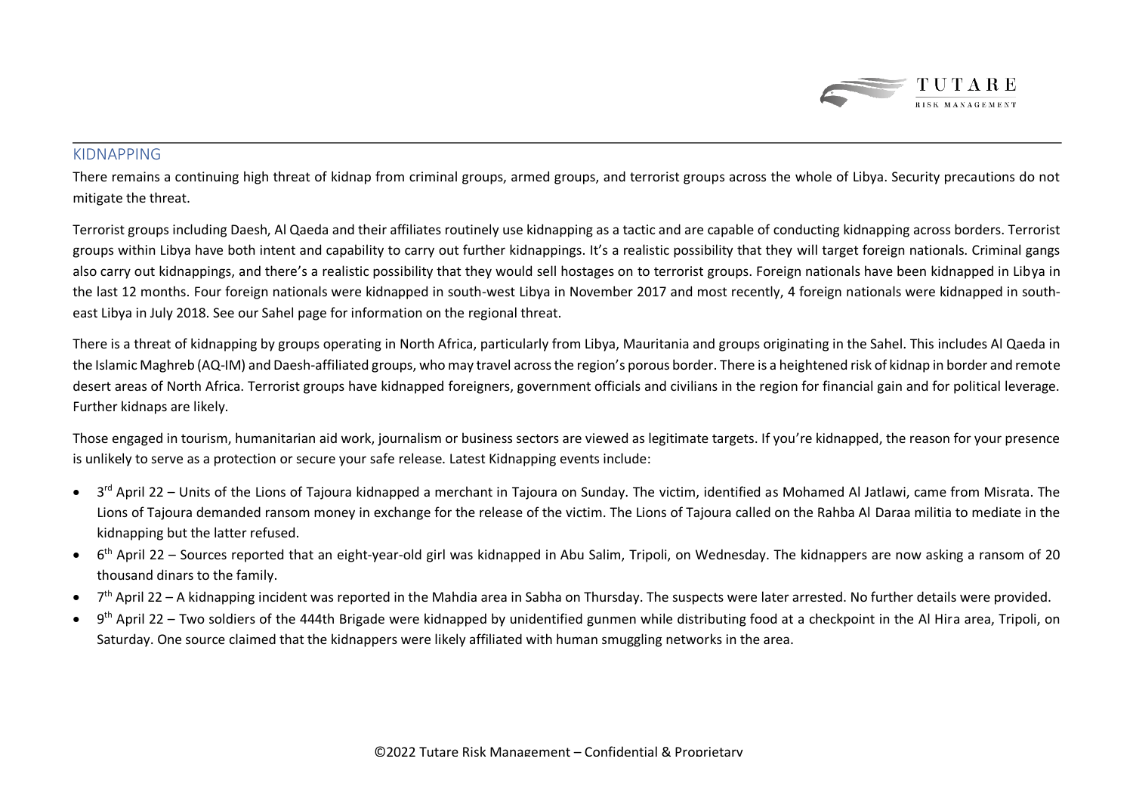

### KIDNAPPING

There remains a continuing high threat of kidnap from criminal groups, armed groups, and terrorist groups across the whole of Libya. Security precautions do not mitigate the threat.

Terrorist groups including Daesh, Al Qaeda and their affiliates routinely use kidnapping as a tactic and are capable of conducting kidnapping across borders. Terrorist groups within Libya have both intent and capability to carry out further kidnappings. It's a realistic possibility that they will target foreign nationals. Criminal gangs also carry out kidnappings, and there's a realistic possibility that they would sell hostages on to terrorist groups. Foreign nationals have been kidnapped in Libya in the last 12 months. Four foreign nationals were kidnapped in south-west Libya in November 2017 and most recently, 4 foreign nationals were kidnapped in southeast Libya in July 2018. See our Sahel page for information on the regional threat.

There is a threat of kidnapping by groups operating in North Africa, particularly from Libya, Mauritania and groups originating in the Sahel. This includes Al Qaeda in the Islamic Maghreb (AQ-IM) and Daesh-affiliated groups, who may travel across the region's porous border. There is a heightened risk of kidnap in border and remote desert areas of North Africa. Terrorist groups have kidnapped foreigners, government officials and civilians in the region for financial gain and for political leverage. Further kidnaps are likely.

Those engaged in tourism, humanitarian aid work, journalism or business sectors are viewed as legitimate targets. If you're kidnapped, the reason for your presence is unlikely to serve as a protection or secure your safe release. Latest Kidnapping events include:

- 3<sup>rd</sup> April 22 Units of the Lions of Tajoura kidnapped a merchant in Tajoura on Sunday. The victim, identified as Mohamed Al Jatlawi, came from Misrata. The Lions of Tajoura demanded ransom money in exchange for the release of the victim. The Lions of Tajoura called on the Rahba Al Daraa militia to mediate in the kidnapping but the latter refused.
- 6<sup>th</sup> April 22 Sources reported that an eight-year-old girl was kidnapped in Abu Salim, Tripoli, on Wednesday. The kidnappers are now asking a ransom of 20 thousand dinars to the family.
- 7<sup>th</sup> April 22 A kidnapping incident was reported in the Mahdia area in Sabha on Thursday. The suspects were later arrested. No further details were provided.
- 9<sup>th</sup> April 22 Two soldiers of the 444th Brigade were kidnapped by unidentified gunmen while distributing food at a checkpoint in the Al Hira area, Tripoli, on Saturday. One source claimed that the kidnappers were likely affiliated with human smuggling networks in the area.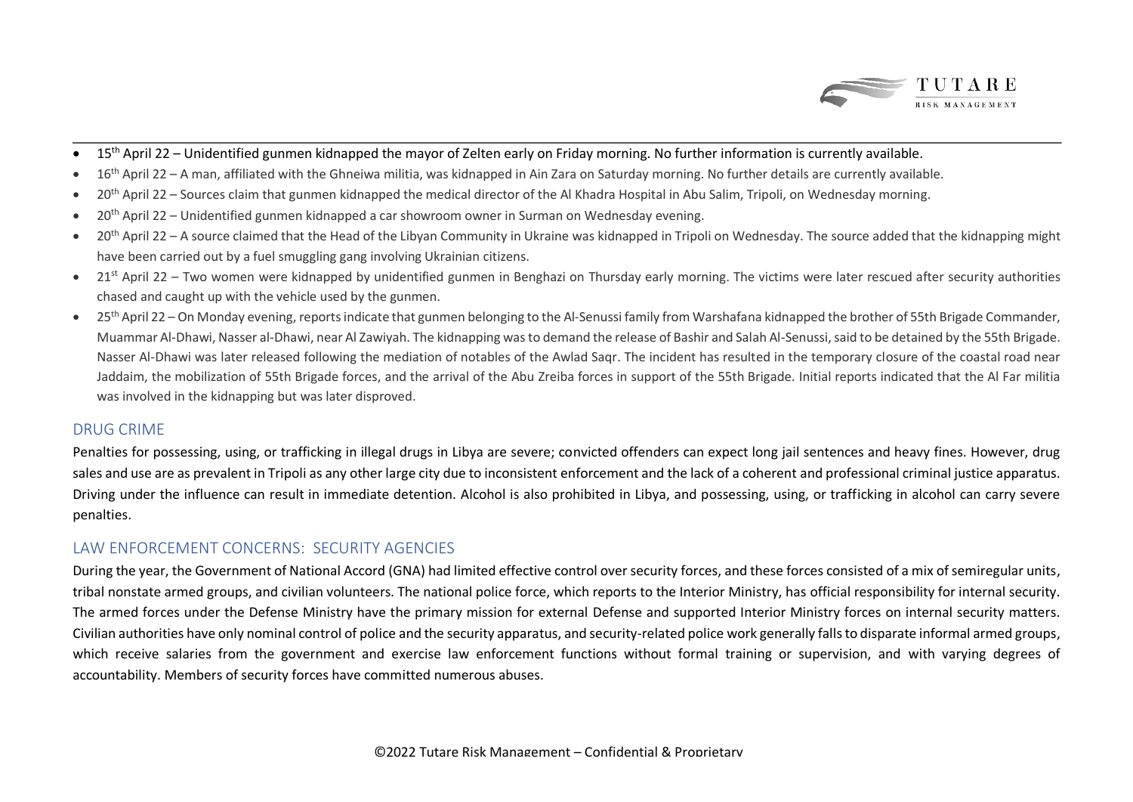

- $15<sup>th</sup>$  April 22 Unidentified gunmen kidnapped the mayor of Zelten early on Friday morning. No further information is currently available.
- 16<sup>th</sup> April 22 A man, affiliated with the Ghneiwa militia, was kidnapped in Ain Zara on Saturday morning. No further details are currently available.
- 20<sup>th</sup> April 22 Sources claim that gunmen kidnapped the medical director of the Al Khadra Hospital in Abu Salim, Tripoli, on Wednesday morning.
- 20<sup>th</sup> April 22 Unidentified gunmen kidnapped a car showroom owner in Surman on Wednesday evening.
- 20<sup>th</sup> April 22 A source claimed that the Head of the Libyan Community in Ukraine was kidnapped in Tripoli on Wednesday. The source added that the kidnapping might have been carried out by a fuel smuggling gang involving Ukrainian citizens.
- 21<sup>st</sup> April 22 Two women were kidnapped by unidentified gunmen in Benghazi on Thursday early morning. The victims were later rescued after security authorities chased and caught up with the vehicle used by the gunmen.
- 25<sup>th</sup> April 22 On Monday evening, reports indicate that gunmen belonging to the Al-Senussi family from Warshafana kidnapped the brother of 55th Brigade Commander, Muammar Al-Dhawi, Nasser al-Dhawi, near Al Zawiyah. The kidnapping was to demand the release of Bashir and Salah Al-Senussi, said to be detained by the 55th Brigade. Nasser Al-Dhawi was later released following the mediation of notables of the Awlad Saqr. The incident has resulted in the temporary closure of the coastal road near Jaddaim, the mobilization of 55th Brigade forces, and the arrival of the Abu Zreiba forces in support of the 55th Brigade. Initial reports indicated that the Al Far militia was involved in the kidnapping but was later disproved.

### DRUG CRIME

Penalties for possessing, using, or trafficking in illegal drugs in Libya are severe; convicted offenders can expect long jail sentences and heavy fines. However, drug sales and use are as prevalent in Tripoli as any other large city due to inconsistent enforcement and the lack of a coherent and professional criminal justice apparatus. Driving under the influence can result in immediate detention. Alcohol is also prohibited in Libya, and possessing, using, or trafficking in alcohol can carry severe penalties.

### LAW ENFORCEMENT CONCERNS: SECURITY AGENCIES

During the year, the Government of National Accord (GNA) had limited effective control over security forces, and these forces consisted of a mix of semiregular units, tribal nonstate armed groups, and civilian volunteers. The national police force, which reports to the Interior Ministry, has official responsibility for internal security. The armed forces under the Defense Ministry have the primary mission for external Defense and supported Interior Ministry forces on internal security matters. Civilian authorities have only nominal control of police and the security apparatus, and security-related police work generally falls to disparate informal armed groups, which receive salaries from the government and exercise law enforcement functions without formal training or supervision, and with varying degrees of accountability. Members of security forces have committed numerous abuses.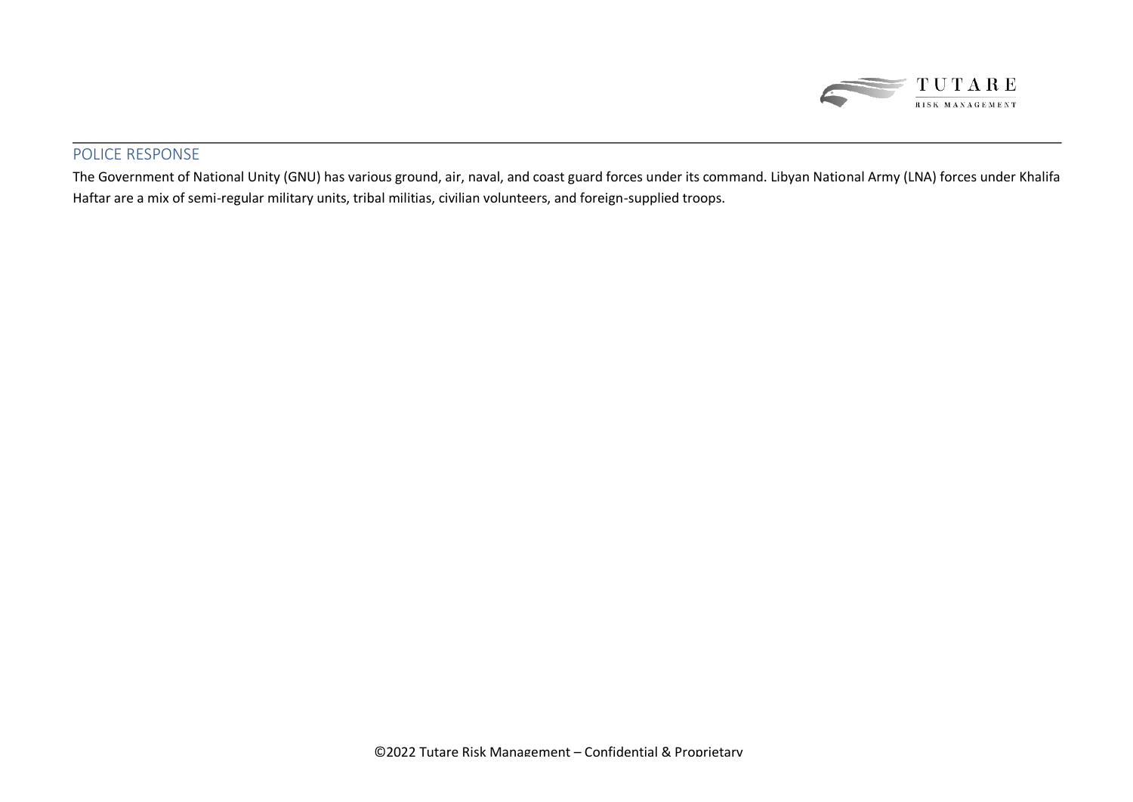

### POLICE RESPONSE

The Government of National Unity (GNU) has various ground, air, naval, and coast guard forces under its command. Libyan National Army (LNA) forces under Khalifa Haftar are a mix of semi-regular military units, tribal militias, civilian volunteers, and foreign-supplied troops.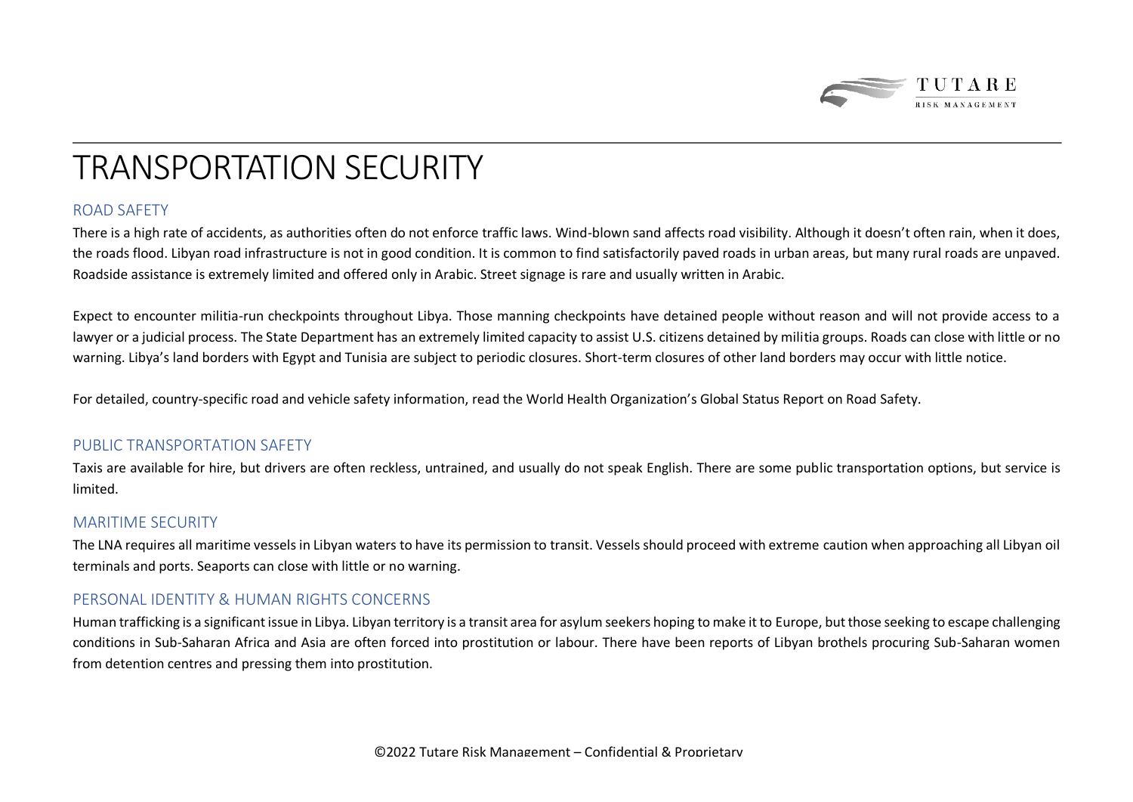

### TRANSPORTATION SECURITY

### ROAD SAFETY

There is a high rate of accidents, as authorities often do not enforce traffic laws. Wind-blown sand affects road visibility. Although it doesn't often rain, when it does, the roads flood. Libyan road infrastructure is not in good condition. It is common to find satisfactorily paved roads in urban areas, but many rural roads are unpaved. Roadside assistance is extremely limited and offered only in Arabic. Street signage is rare and usually written in Arabic.

Expect to encounter militia-run checkpoints throughout Libya. Those manning checkpoints have detained people without reason and will not provide access to a lawyer or a judicial process. The State Department has an extremely limited capacity to assist U.S. citizens detained by militia groups. Roads can close with little or no warning. Libya's land borders with Egypt and Tunisia are subject to periodic closures. Short-term closures of other land borders may occur with little notice.

For detailed, country-specific road and vehicle safety information, read the World Health Organization's Global Status Report on Road Safety.

### PUBLIC TRANSPORTATION SAFFTY

Taxis are available for hire, but drivers are often reckless, untrained, and usually do not speak English. There are some public transportation options, but service is limited.

#### MARITIME SECURITY

The LNA requires all maritime vessels in Libyan waters to have its permission to transit. Vessels should proceed with extreme caution when approaching all Libyan oil terminals and ports. Seaports can close with little or no warning.

### PERSONAL IDENTITY & HUMAN RIGHTS CONCERNS

Human trafficking is a significant issue in Libya. Libyan territory is a transit area for asylum seekers hoping to make it to Europe, but those seeking to escape challenging conditions in Sub-Saharan Africa and Asia are often forced into prostitution or labour. There have been reports of Libyan brothels procuring Sub-Saharan women from detention centres and pressing them into prostitution.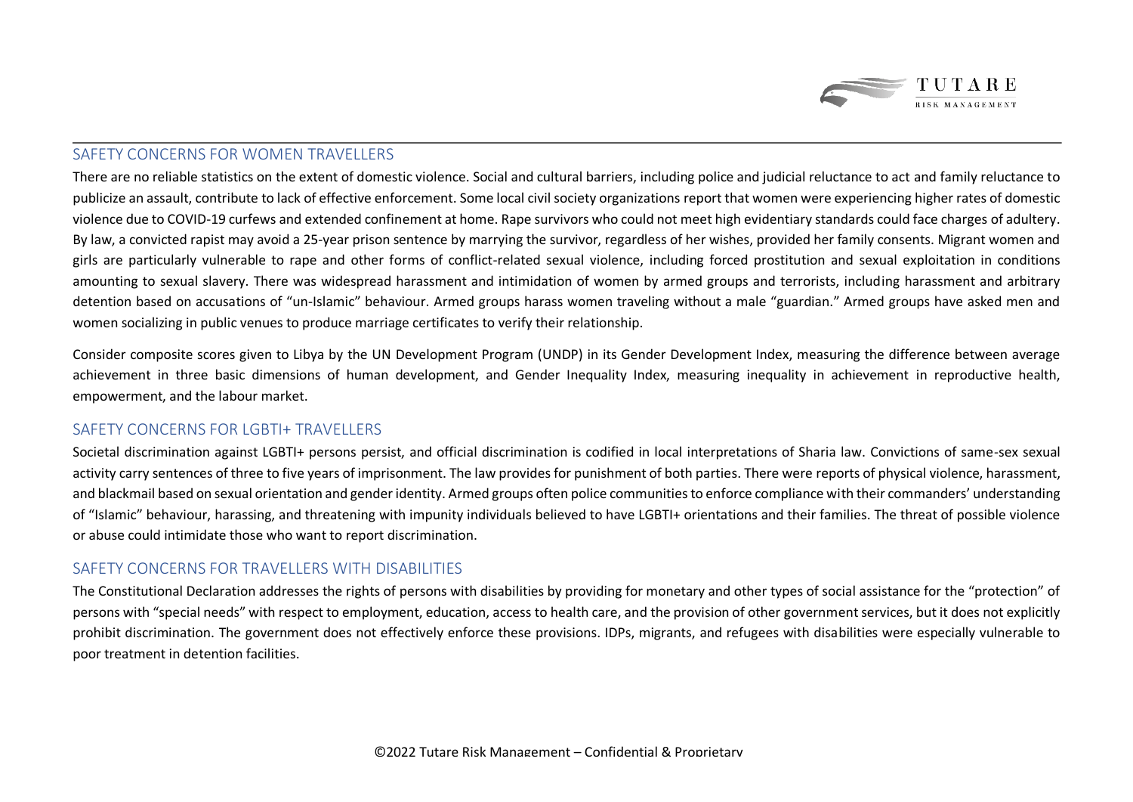

### SAFFTY CONCERNS FOR WOMEN TRAVELLERS

There are no reliable statistics on the extent of domestic violence. Social and cultural barriers, including police and judicial reluctance to act and family reluctance to publicize an assault, contribute to lack of effective enforcement. Some local civil society organizations report that women were experiencing higher rates of domestic violence due to COVID-19 curfews and extended confinement at home. Rape survivors who could not meet high evidentiary standards could face charges of adultery. By law, a convicted rapist may avoid a 25-year prison sentence by marrying the survivor, regardless of her wishes, provided her family consents. Migrant women and girls are particularly vulnerable to rape and other forms of conflict-related sexual violence, including forced prostitution and sexual exploitation in conditions amounting to sexual slavery. There was widespread harassment and intimidation of women by armed groups and terrorists, including harassment and arbitrary detention based on accusations of "un-Islamic" behaviour. Armed groups harass women traveling without a male "guardian." Armed groups have asked men and women socializing in public venues to produce marriage certificates to verify their relationship.

Consider composite scores given to Libya by the UN Development Program (UNDP) in its Gender Development Index, measuring the difference between average achievement in three basic dimensions of human development, and Gender Inequality Index, measuring inequality in achievement in reproductive health, empowerment, and the labour market.

### SAFFTY CONCERNS FOR LGBTI+ TRAVELLERS

Societal discrimination against LGBTI+ persons persist, and official discrimination is codified in local interpretations of Sharia law. Convictions of same-sex sexual activity carry sentences of three to five years of imprisonment. The law provides for punishment of both parties. There were reports of physical violence, harassment, and blackmail based on sexual orientation and gender identity. Armed groups often police communities to enforce compliance with their commanders' understanding of "Islamic" behaviour, harassing, and threatening with impunity individuals believed to have LGBTI+ orientations and their families. The threat of possible violence or abuse could intimidate those who want to report discrimination.

### SAFETY CONCERNS FOR TRAVELLERS WITH DISABILITIES

The Constitutional Declaration addresses the rights of persons with disabilities by providing for monetary and other types of social assistance for the "protection" of persons with "special needs" with respect to employment, education, access to health care, and the provision of other government services, but it does not explicitly prohibit discrimination. The government does not effectively enforce these provisions. IDPs, migrants, and refugees with disabilities were especially vulnerable to poor treatment in detention facilities.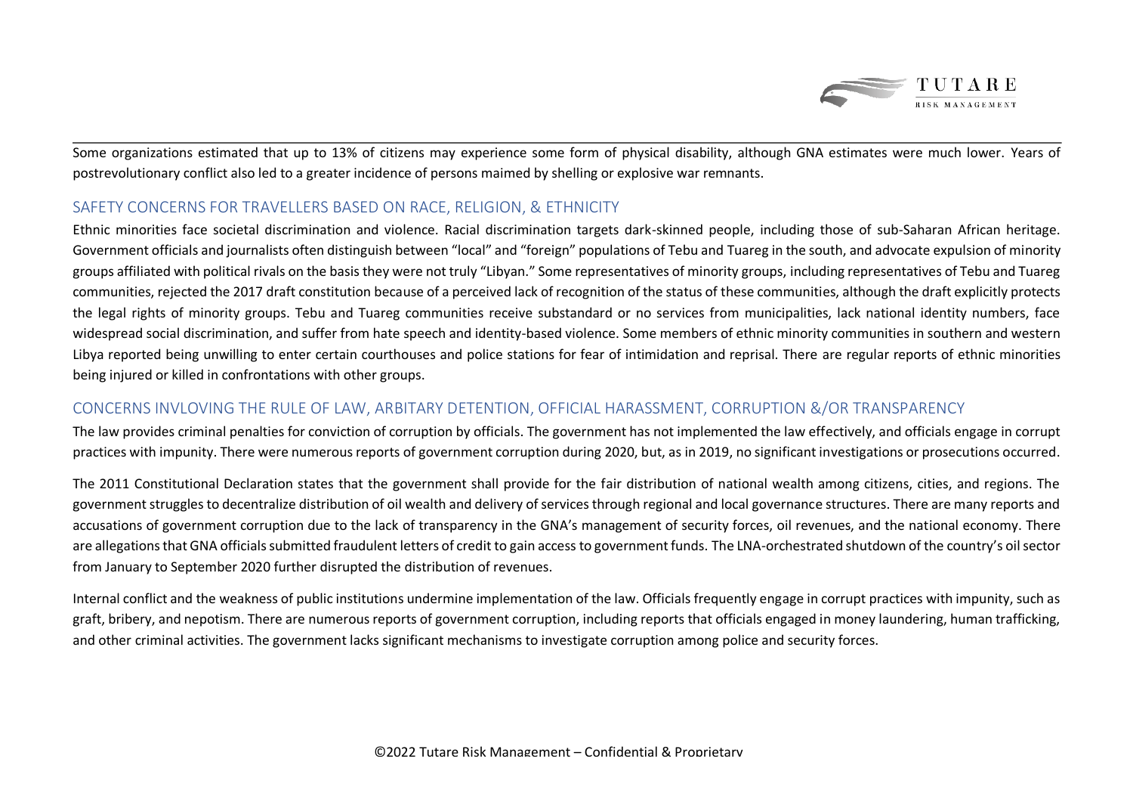

Some organizations estimated that up to 13% of citizens may experience some form of physical disability, although GNA estimates were much lower. Years of postrevolutionary conflict also led to a greater incidence of persons maimed by shelling or explosive war remnants.

### SAFETY CONCERNS FOR TRAVELLERS BASED ON RACE, RELIGION, & ETHNICITY

Ethnic minorities face societal discrimination and violence. Racial discrimination targets dark-skinned people, including those of sub-Saharan African heritage. Government officials and journalists often distinguish between "local" and "foreign" populations of Tebu and Tuareg in the south, and advocate expulsion of minority groups affiliated with political rivals on the basis they were not truly "Libyan." Some representatives of minority groups, including representatives of Tebu and Tuareg communities, rejected the 2017 draft constitution because of a perceived lack of recognition of the status of these communities, although the draft explicitly protects the legal rights of minority groups. Tebu and Tuareg communities receive substandard or no services from municipalities, lack national identity numbers, face widespread social discrimination, and suffer from hate speech and identity-based violence. Some members of ethnic minority communities in southern and western Libya reported being unwilling to enter certain courthouses and police stations for fear of intimidation and reprisal. There are regular reports of ethnic minorities being injured or killed in confrontations with other groups.

### CONCERNS INVLOVING THE RULE OF LAW, ARBITARY DETENTION, OFFICIAL HARASSMENT, CORRUPTION &/OR TRANSPARENCY

The law provides criminal penalties for conviction of corruption by officials. The government has not implemented the law effectively, and officials engage in corrupt practices with impunity. There were numerous reports of government corruption during 2020, but, as in 2019, no significant investigations or prosecutions occurred.

The 2011 Constitutional Declaration states that the government shall provide for the fair distribution of national wealth among citizens, cities, and regions. The government struggles to decentralize distribution of oil wealth and delivery of services through regional and local governance structures. There are many reports and accusations of government corruption due to the lack of transparency in the GNA's management of security forces, oil revenues, and the national economy. There are allegations that GNA officials submitted fraudulent letters of credit to gain access to government funds. The LNA-orchestrated shutdown of the country's oil sector from January to September 2020 further disrupted the distribution of revenues.

Internal conflict and the weakness of public institutions undermine implementation of the law. Officials frequently engage in corrupt practices with impunity, such as graft, bribery, and nepotism. There are numerous reports of government corruption, including reports that officials engaged in money laundering, human trafficking, and other criminal activities. The government lacks significant mechanisms to investigate corruption among police and security forces.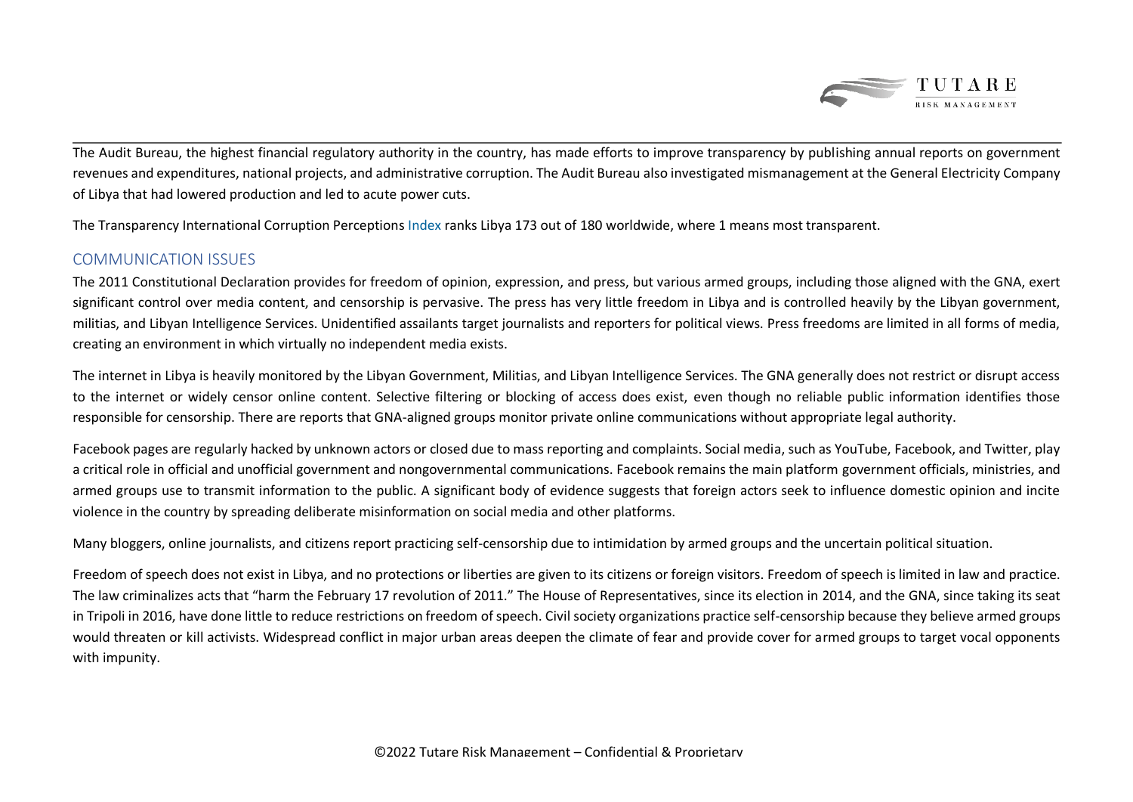

The Audit Bureau, the highest financial regulatory authority in the country, has made efforts to improve transparency by publishing annual reports on government revenues and expenditures, national projects, and administrative corruption. The Audit Bureau also investigated mismanagement at the General Electricity Company of Libya that had lowered production and led to acute power cuts.

The Transparency International Corruption Perceptions Index ranks Libya 173 out of 180 worldwide, where 1 means most transparent.

### COMMUNICATION ISSUES

The 2011 Constitutional Declaration provides for freedom of opinion, expression, and press, but various armed groups, including those aligned with the GNA, exert significant control over media content, and censorship is pervasive. The press has very little freedom in Libya and is controlled heavily by the Libyan government, militias, and Libyan Intelligence Services. Unidentified assailants target journalists and reporters for political views. Press freedoms are limited in all forms of media, creating an environment in which virtually no independent media exists.

The internet in Libya is heavily monitored by the Libyan Government, Militias, and Libyan Intelligence Services. The GNA generally does not restrict or disrupt access to the internet or widely censor online content. Selective filtering or blocking of access does exist, even though no reliable public information identifies those responsible for censorship. There are reports that GNA-aligned groups monitor private online communications without appropriate legal authority.

Facebook pages are regularly hacked by unknown actors or closed due to mass reporting and complaints. Social media, such as YouTube, Facebook, and Twitter, play a critical role in official and unofficial government and nongovernmental communications. Facebook remains the main platform government officials, ministries, and armed groups use to transmit information to the public. A significant body of evidence suggests that foreign actors seek to influence domestic opinion and incite violence in the country by spreading deliberate misinformation on social media and other platforms.

Many bloggers, online journalists, and citizens report practicing self-censorship due to intimidation by armed groups and the uncertain political situation.

Freedom of speech does not exist in Libya, and no protections or liberties are given to its citizens or foreign visitors. Freedom of speech is limited in law and practice. The law criminalizes acts that "harm the February 17 revolution of 2011." The House of Representatives, since its election in 2014, and the GNA, since taking its seat in Tripoli in 2016, have done little to reduce restrictions on freedom of speech. Civil society organizations practice self-censorship because they believe armed groups would threaten or kill activists. Widespread conflict in major urban areas deepen the climate of fear and provide cover for armed groups to target vocal opponents with impunity.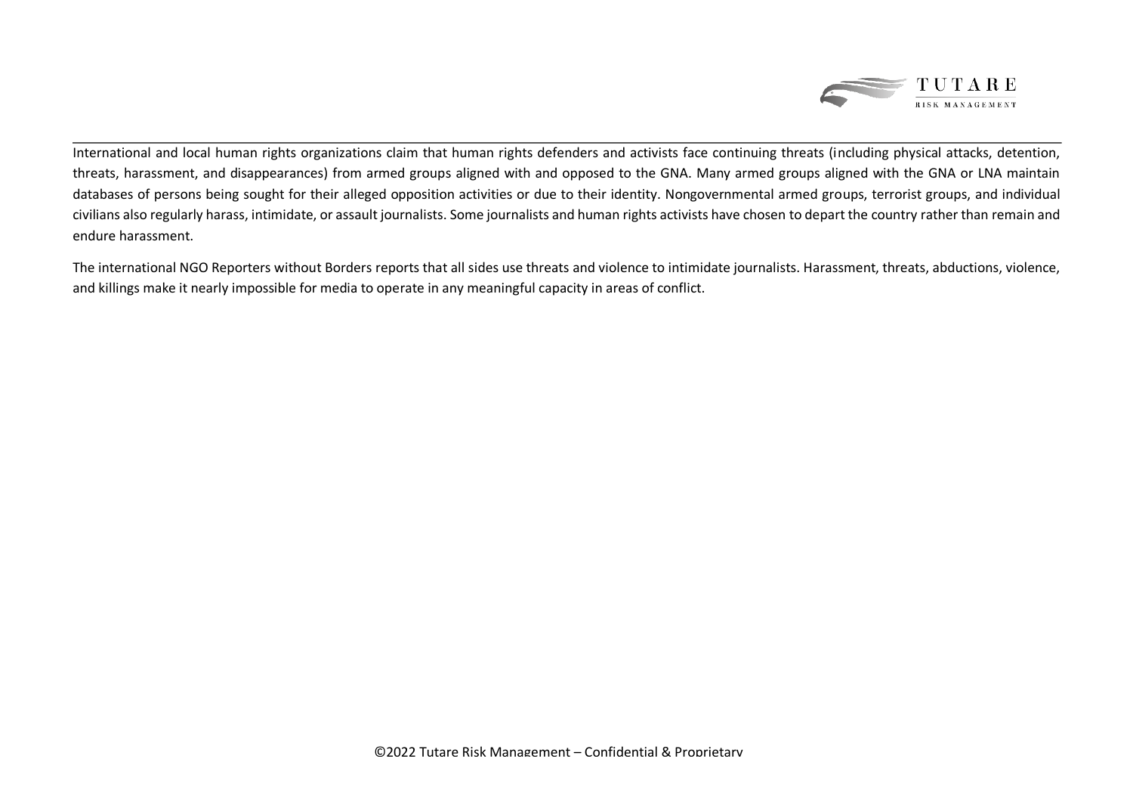

International and local human rights organizations claim that human rights defenders and activists face continuing threats (including physical attacks, detention, threats, harassment, and disappearances) from armed groups aligned with and opposed to the GNA. Many armed groups aligned with the GNA or LNA maintain databases of persons being sought for their alleged opposition activities or due to their identity. Nongovernmental armed groups, terrorist groups, and individual civilians also regularly harass, intimidate, or assault journalists. Some journalists and human rights activists have chosen to depart the country rather than remain and endure harassment.

The international NGO Reporters without Borders reports that all sides use threats and violence to intimidate journalists. Harassment, threats, abductions, violence, and killings make it nearly impossible for media to operate in any meaningful capacity in areas of conflict.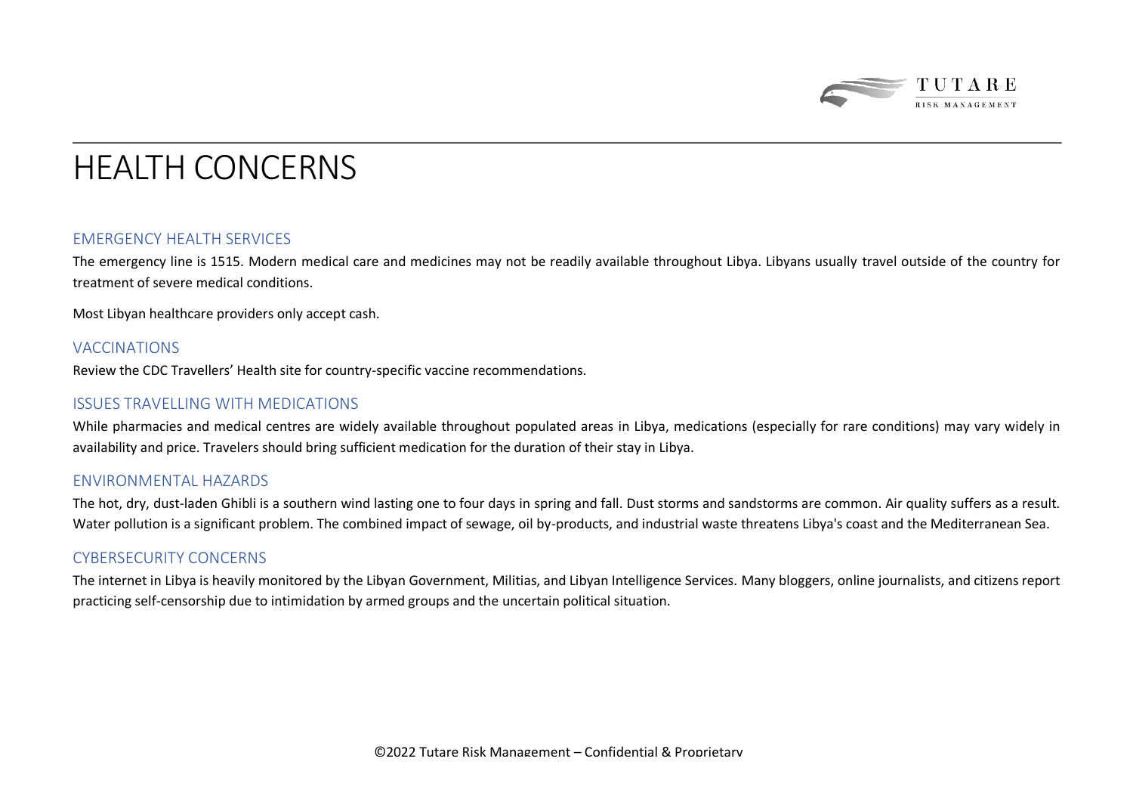

### HEALTH CONCERNS

### EMERGENCY HEALTH SERVICES

The emergency line is 1515. Modern medical care and medicines may not be readily available throughout Libya. Libyans usually travel outside of the country for treatment of severe medical conditions.

Most Libyan healthcare providers only accept cash.

#### VACCINATIONS

Review the CDC Travellers' Health site for country-specific vaccine recommendations.

#### ISSUES TRAVELLING WITH MEDICATIONS

While pharmacies and medical centres are widely available throughout populated areas in Libya, medications (especially for rare conditions) may vary widely in availability and price. Travelers should bring sufficient medication for the duration of their stay in Libya.

#### ENVIRONMENTAL HAZARDS

The hot, dry, dust-laden Ghibli is a southern wind lasting one to four days in spring and fall. Dust storms and sandstorms are common. Air quality suffers as a result. Water pollution is a significant problem. The combined impact of sewage, oil by-products, and industrial waste threatens Libya's coast and the Mediterranean Sea.

#### CYBERSECURITY CONCERNS

The internet in Libya is heavily monitored by the Libyan Government, Militias, and Libyan Intelligence Services. Many bloggers, online journalists, and citizens report practicing self-censorship due to intimidation by armed groups and the uncertain political situation.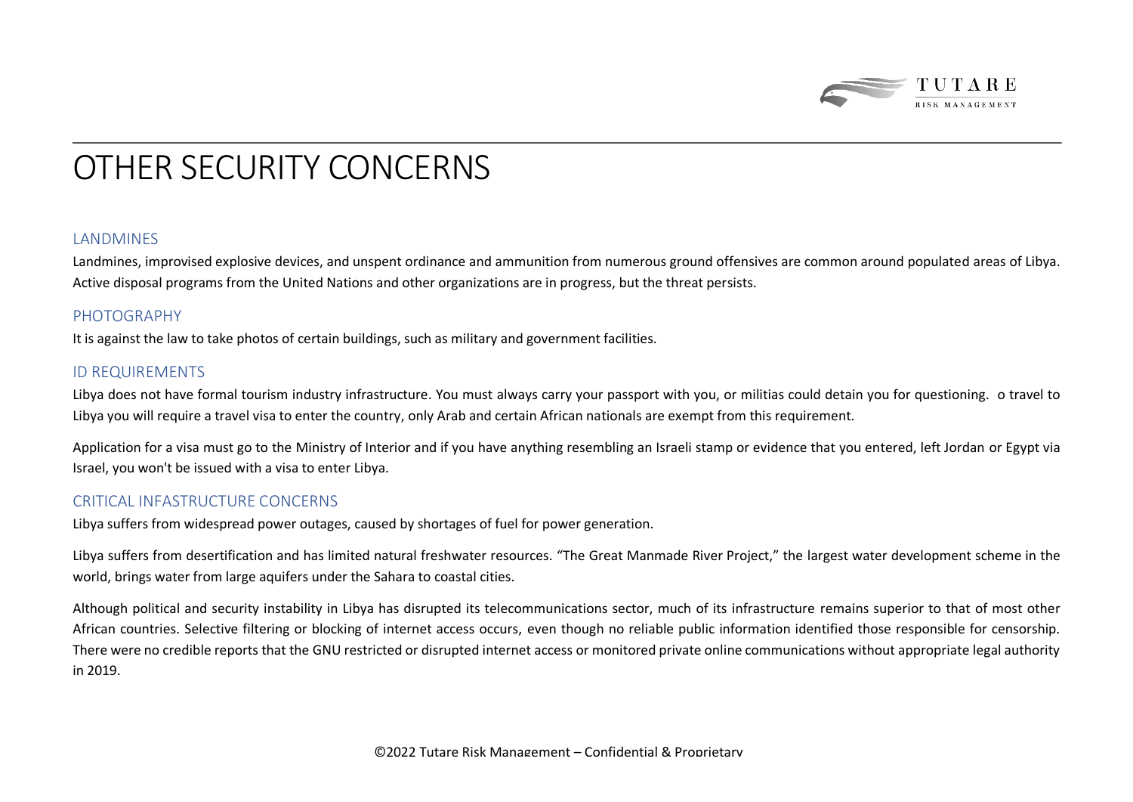

## OTHER SECURITY CONCERNS

#### **LANDMINES**

Landmines, improvised explosive devices, and unspent ordinance and ammunition from numerous ground offensives are common around populated areas of Libya. Active disposal programs from the United Nations and other organizations are in progress, but the threat persists.

#### PHOTOGRAPHY

It is against the law to take photos of certain buildings, such as military and government facilities.

### ID REQUIREMENTS

Libya does not have formal tourism industry infrastructure. You must always carry your passport with you, or militias could detain you for questioning. o travel to Libya you will require a travel visa to enter the country, only Arab and certain African nationals are exempt from this requirement.

Application for a visa must go to the Ministry of Interior and if you have anything resembling an Israeli stamp or evidence that you entered, left Jordan or Egypt via Israel, you won't be issued with a visa to enter Libya.

### CRITICAL INFASTRUCTURE CONCERNS

Libya suffers from widespread power outages, caused by shortages of fuel for power generation.

Libya suffers from desertification and has limited natural freshwater resources. "The Great Manmade River Project," the largest water development scheme in the world, brings water from large aquifers under the Sahara to coastal cities.

Although political and security instability in Libya has disrupted its telecommunications sector, much of its infrastructure remains superior to that of most other African countries. Selective filtering or blocking of internet access occurs, even though no reliable public information identified those responsible for censorship. There were no credible reports that the GNU restricted or disrupted internet access or monitored private online communications without appropriate legal authority in 2019.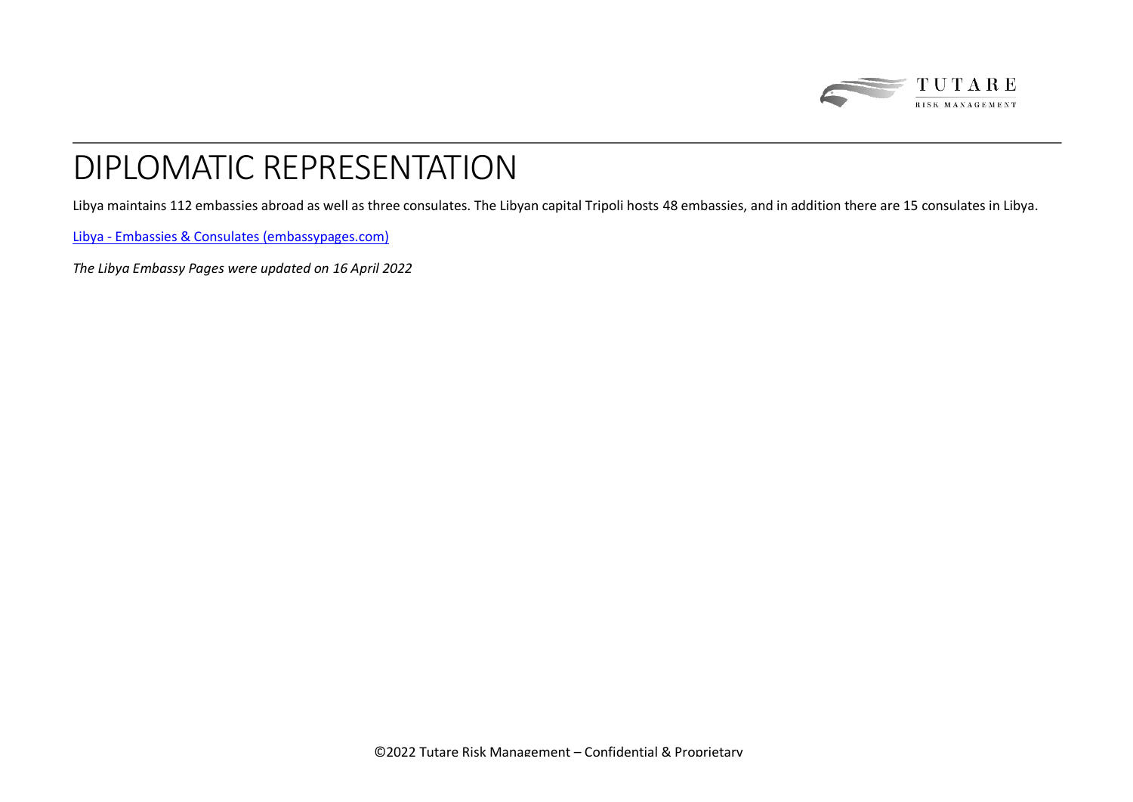

# DIPLOMATIC REPRESENTATION

Libya maintains 112 embassies abroad as well as three consulates. The Libyan capital Tripoli hosts 48 embassies, and in addition there are 15 consulates in Libya.

Libya - [Embassies & Consulates \(embassypages.com\)](https://www.embassypages.com/libya)

*The Libya Embassy Pages were updated on 16 April 2022*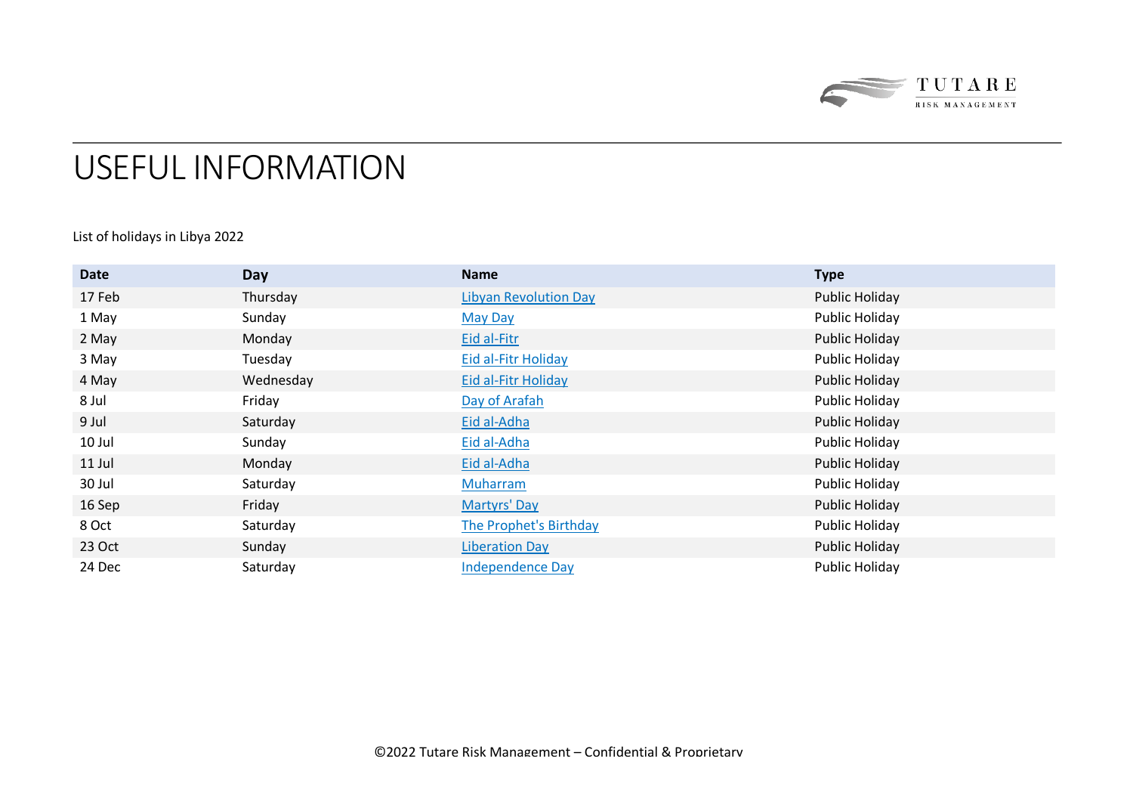

### USEFUL INFORMATION

### List of holidays in Libya 2022

| Date   | Day       | <b>Name</b>                  | <b>Type</b>    |
|--------|-----------|------------------------------|----------------|
| 17 Feb | Thursday  | <b>Libyan Revolution Day</b> | Public Holiday |
| 1 May  | Sunday    | <b>May Day</b>               | Public Holiday |
| 2 May  | Monday    | Eid al-Fitr                  | Public Holiday |
| 3 May  | Tuesday   | <b>Eid al-Fitr Holiday</b>   | Public Holiday |
| 4 May  | Wednesday | <b>Eid al-Fitr Holiday</b>   | Public Holiday |
| 8 Jul  | Friday    | Day of Arafah                | Public Holiday |
| 9 Jul  | Saturday  | Eid al-Adha                  | Public Holiday |
| 10 Jul | Sunday    | Eid al-Adha                  | Public Holiday |
| 11 Jul | Monday    | Eid al-Adha                  | Public Holiday |
| 30 Jul | Saturday  | <b>Muharram</b>              | Public Holiday |
| 16 Sep | Friday    | Martyrs' Day                 | Public Holiday |
| 8 Oct  | Saturday  | The Prophet's Birthday       | Public Holiday |
| 23 Oct | Sunday    | <b>Liberation Day</b>        | Public Holiday |
| 24 Dec | Saturday  | <b>Independence Day</b>      | Public Holiday |